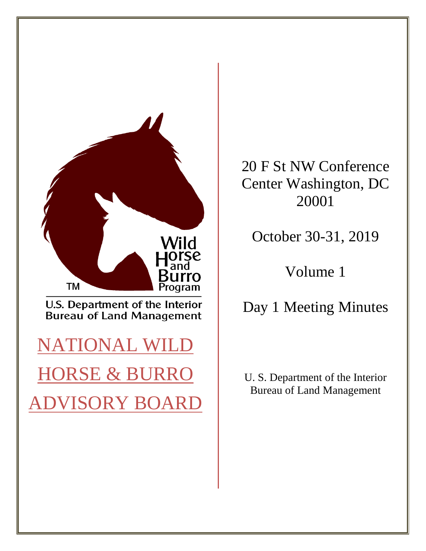

20 F St NW Conference Center Washington, DC 20001

October 30-31, 2019

Volume 1

Day 1 Meeting Minutes

U. S. Department of the Interior Bureau of Land Management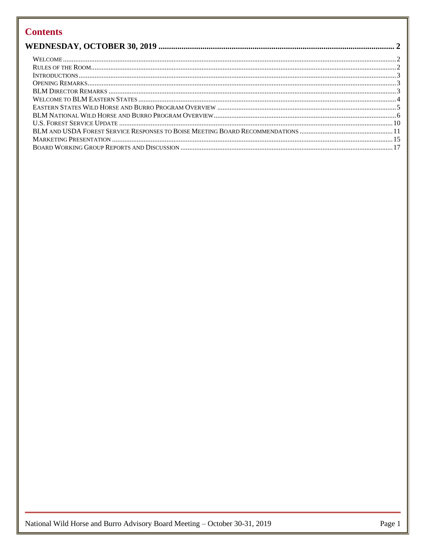# **Contents**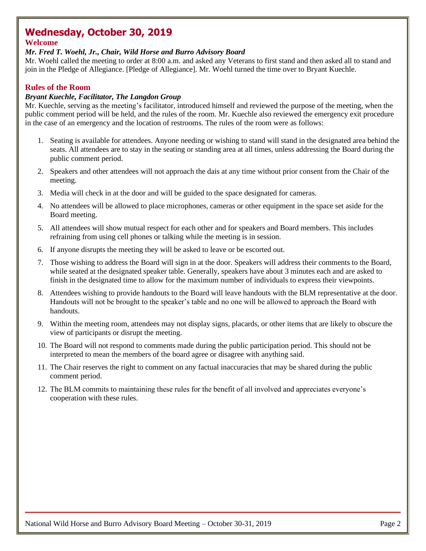# <span id="page-2-0"></span>**Wednesday, October 30, 2019**

# <span id="page-2-1"></span>**Welcome**

## *Mr. Fred T. Woehl, Jr., Chair, Wild Horse and Burro Advisory Board*

Mr. Woehl called the meeting to order at 8:00 a.m. and asked any Veterans to first stand and then asked all to stand and join in the Pledge of Allegiance. [Pledge of Allegiance]. Mr. Woehl turned the time over to Bryant Kuechle.

# <span id="page-2-2"></span>**Rules of the Room**

## *Bryant Kuechle, Facilitator, The Langdon Group*

Mr. Kuechle, serving as the meeting's facilitator, introduced himself and reviewed the purpose of the meeting, when the public comment period will be held, and the rules of the room. Mr. Kuechle also reviewed the emergency exit procedure in the case of an emergency and the location of restrooms. The rules of the room were as follows:

- 1. Seating is available for attendees. Anyone needing or wishing to stand will stand in the designated area behind the seats. All attendees are to stay in the seating or standing area at all times, unless addressing the Board during the public comment period.
- 2. Speakers and other attendees will not approach the dais at any time without prior consent from the Chair of the meeting.
- 3. Media will check in at the door and will be guided to the space designated for cameras.
- 4. No attendees will be allowed to place microphones, cameras or other equipment in the space set aside for the Board meeting.
- 5. All attendees will show mutual respect for each other and for speakers and Board members. This includes refraining from using cell phones or talking while the meeting is in session.
- 6. If anyone disrupts the meeting they will be asked to leave or be escorted out.
- 7. Those wishing to address the Board will sign in at the door. Speakers will address their comments to the Board, while seated at the designated speaker table. Generally, speakers have about 3 minutes each and are asked to finish in the designated time to allow for the maximum number of individuals to express their viewpoints.
- 8. Attendees wishing to provide handouts to the Board will leave handouts with the BLM representative at the door. Handouts will not be brought to the speaker's table and no one will be allowed to approach the Board with handouts.
- 9. Within the meeting room, attendees may not display signs, placards, or other items that are likely to obscure the view of participants or disrupt the meeting.
- 10. The Board will not respond to comments made during the public participation period. This should not be interpreted to mean the members of the board agree or disagree with anything said.
- 11. The Chair reserves the right to comment on any factual inaccuracies that may be shared during the public comment period.
- 12. The BLM commits to maintaining these rules for the benefit of all involved and appreciates everyone's cooperation with these rules.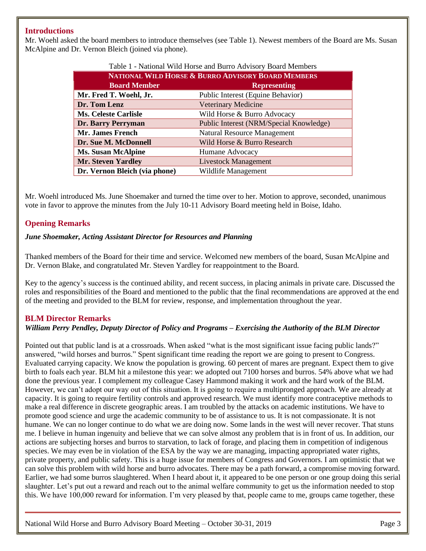## <span id="page-3-0"></span>**Introductions**

Mr. Woehl asked the board members to introduce themselves (see Table 1). Newest members of the Board are Ms. Susan McAlpine and Dr. Vernon Bleich (joined via phone).

| Table 1 - National Wild Horse and Burro Advisory Board Members |                                         |  |
|----------------------------------------------------------------|-----------------------------------------|--|
| NATIONAL WILD HORSE & BURRO ADVISORY BOARD MEMBERS             |                                         |  |
| <b>Board Member</b>                                            | <b>Representing</b>                     |  |
| Mr. Fred T. Woehl, Jr.                                         | Public Interest (Equine Behavior)       |  |
| Dr. Tom Lenz                                                   | <b>Veterinary Medicine</b>              |  |
| <b>Ms. Celeste Carlisle</b>                                    | Wild Horse & Burro Advocacy             |  |
| Dr. Barry Perryman                                             | Public Interest (NRM/Special Knowledge) |  |
| Mr. James French                                               | <b>Natural Resource Management</b>      |  |
| Dr. Sue M. McDonnell                                           | Wild Horse & Burro Research             |  |
| <b>Ms. Susan McAlpine</b>                                      | Humane Advocacy                         |  |
| <b>Mr. Steven Yardley</b>                                      | <b>Livestock Management</b>             |  |
| Dr. Vernon Bleich (via phone)                                  | Wildlife Management                     |  |

Mr. Woehl introduced Ms. June Shoemaker and turned the time over to her. Motion to approve, seconded, unanimous vote in favor to approve the minutes from the July 10-11 Advisory Board meeting held in Boise, Idaho.

## <span id="page-3-1"></span>**Opening Remarks**

#### *June Shoemaker, Acting Assistant Director for Resources and Planning*

Thanked members of the Board for their time and service. Welcomed new members of the board, Susan McAlpine and Dr. Vernon Blake, and congratulated Mr. Steven Yardley for reappointment to the Board.

Key to the agency's success is the continued ability, and recent success, in placing animals in private care. Discussed the roles and responsibilities of the Board and mentioned to the public that the final recommendations are approved at the end of the meeting and provided to the BLM for review, response, and implementation throughout the year.

#### <span id="page-3-2"></span>**BLM Director Remarks** *William Perry Pendley, Deputy Director of Policy and Programs – Exercising the Authority of the BLM Director*

Pointed out that public land is at a crossroads. When asked "what is the most significant issue facing public lands?" answered, "wild horses and burros." Spent significant time reading the report we are going to present to Congress. Evaluated carrying capacity. We know the population is growing. 60 percent of mares are pregnant. Expect them to give birth to foals each year. BLM hit a milestone this year: we adopted out 7100 horses and burros. 54% above what we had done the previous year. I complement my colleague Casey Hammond making it work and the hard work of the BLM. However, we can't adopt our way out of this situation. It is going to require a multipronged approach. We are already at capacity. It is going to require fertility controls and approved research. We must identify more contraceptive methods to make a real difference in discrete geographic areas. I am troubled by the attacks on academic institutions. We have to promote good science and urge the academic community to be of assistance to us. It is not compassionate. It is not humane. We can no longer continue to do what we are doing now. Some lands in the west will never recover. That stuns me. I believe in human ingenuity and believe that we can solve almost any problem that is in front of us. In addition, our actions are subjecting horses and burros to starvation, to lack of forage, and placing them in competition of indigenous species. We may even be in violation of the ESA by the way we are managing, impacting appropriated water rights, private property, and public safety. This is a huge issue for members of Congress and Governors. I am optimistic that we can solve this problem with wild horse and burro advocates. There may be a path forward, a compromise moving forward. Earlier, we had some burros slaughtered. When I heard about it, it appeared to be one person or one group doing this serial slaughter. Let's put out a reward and reach out to the animal welfare community to get us the information needed to stop this. We have 100,000 reward for information. I'm very pleased by that, people came to me, groups came together, these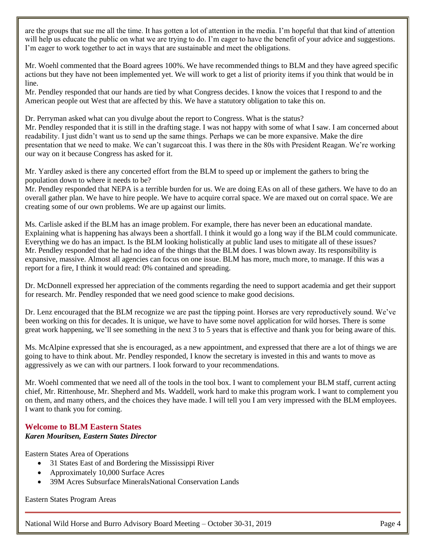are the groups that sue me all the time. It has gotten a lot of attention in the media. I'm hopeful that that kind of attention will help us educate the public on what we are trying to do. I'm eager to have the benefit of your advice and suggestions. I'm eager to work together to act in ways that are sustainable and meet the obligations.

Mr. Woehl commented that the Board agrees 100%. We have recommended things to BLM and they have agreed specific actions but they have not been implemented yet. We will work to get a list of priority items if you think that would be in line.

Mr. Pendley responded that our hands are tied by what Congress decides. I know the voices that I respond to and the American people out West that are affected by this. We have a statutory obligation to take this on.

Dr. Perryman asked what can you divulge about the report to Congress. What is the status? Mr. Pendley responded that it is still in the drafting stage. I was not happy with some of what I saw. I am concerned about readability. I just didn't want us to send up the same things. Perhaps we can be more expansive. Make the dire presentation that we need to make. We can't sugarcoat this. I was there in the 80s with President Reagan. We're working our way on it because Congress has asked for it.

Mr. Yardley asked is there any concerted effort from the BLM to speed up or implement the gathers to bring the population down to where it needs to be?

Mr. Pendley responded that NEPA is a terrible burden for us. We are doing EAs on all of these gathers. We have to do an overall gather plan. We have to hire people. We have to acquire corral space. We are maxed out on corral space. We are creating some of our own problems. We are up against our limits.

Ms. Carlisle asked if the BLM has an image problem. For example, there has never been an educational mandate. Explaining what is happening has always been a shortfall. I think it would go a long way if the BLM could communicate. Everything we do has an impact. Is the BLM looking holistically at public land uses to mitigate all of these issues? Mr. Pendley responded that he had no idea of the things that the BLM does. I was blown away. Its responsibility is expansive, massive. Almost all agencies can focus on one issue. BLM has more, much more, to manage. If this was a report for a fire, I think it would read: 0% contained and spreading.

Dr. McDonnell expressed her appreciation of the comments regarding the need to support academia and get their support for research. Mr. Pendley responded that we need good science to make good decisions.

Dr. Lenz encouraged that the BLM recognize we are past the tipping point. Horses are very reproductively sound. We've been working on this for decades. It is unique, we have to have some novel application for wild horses. There is some great work happening, we'll see something in the next 3 to 5 years that is effective and thank you for being aware of this.

Ms. McAlpine expressed that she is encouraged, as a new appointment, and expressed that there are a lot of things we are going to have to think about. Mr. Pendley responded, I know the secretary is invested in this and wants to move as aggressively as we can with our partners. I look forward to your recommendations.

Mr. Woehl commented that we need all of the tools in the tool box. I want to complement your BLM staff, current acting chief, Mr. Rittenhouse, Mr. Shepherd and Ms. Waddell, work hard to make this program work. I want to complement you on them, and many others, and the choices they have made. I will tell you I am very impressed with the BLM employees. I want to thank you for coming.

#### <span id="page-4-0"></span>**Welcome to BLM Eastern States** *Karen Mouritsen, Eastern States Director*

Eastern States Area of Operations

- 31 States East of and Bordering the Mississippi River
- Approximately 10,000 Surface Acres
- 39M Acres Subsurface MineralsNational Conservation Lands

Eastern States Program Areas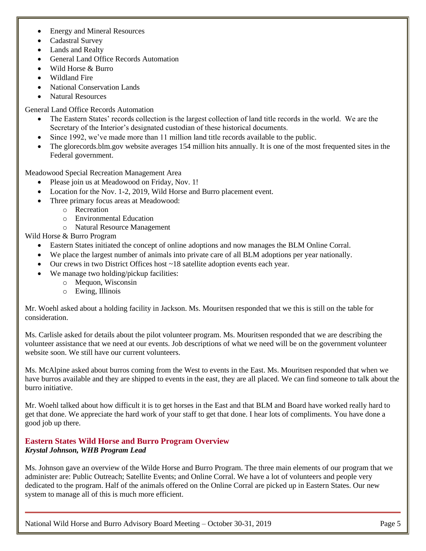- Energy and Mineral Resources
- Cadastral Survey
- Lands and Realty
- General Land Office Records Automation
- Wild Horse & Burro
- Wildland Fire
- National Conservation Lands
- Natural Resources

General Land Office Records Automation

- The Eastern States' records collection is the largest collection of land title records in the world. We are the Secretary of the Interior's designated custodian of these historical documents.
- Since 1992, we've made more than 11 million land title records available to the public.
- The glorecords.blm.gov website averages 154 million hits annually. It is one of the most frequented sites in the Federal government.

Meadowood Special Recreation Management Area

- Please join us at Meadowood on Friday, Nov. 1!
- Location for the Nov. 1-2, 2019, Wild Horse and Burro placement event.
- Three primary focus areas at Meadowood:
	- o Recreation
	- o Environmental Education
	- o Natural Resource Management

Wild Horse & Burro Program

- Eastern States initiated the concept of online adoptions and now manages the BLM Online Corral.
- We place the largest number of animals into private care of all BLM adoptions per year nationally.
- Our crews in two District Offices host ~18 satellite adoption events each year.
- We manage two holding/pickup facilities:
	- o Mequon, Wisconsin
	- o Ewing, Illinois

Mr. Woehl asked about a holding facility in Jackson. Ms. Mouritsen responded that we this is still on the table for consideration.

Ms. Carlisle asked for details about the pilot volunteer program. Ms. Mouritsen responded that we are describing the volunteer assistance that we need at our events. Job descriptions of what we need will be on the government volunteer website soon. We still have our current volunteers.

Ms. McAlpine asked about burros coming from the West to events in the East. Ms. Mouritsen responded that when we have burros available and they are shipped to events in the east, they are all placed. We can find someone to talk about the burro initiative.

Mr. Woehl talked about how difficult it is to get horses in the East and that BLM and Board have worked really hard to get that done. We appreciate the hard work of your staff to get that done. I hear lots of compliments. You have done a good job up there.

## <span id="page-5-0"></span>**Eastern States Wild Horse and Burro Program Overview** *Krystal Johnson, WHB Program Lead*

Ms. Johnson gave an overview of the Wilde Horse and Burro Program. The three main elements of our program that we administer are: Public Outreach; Satellite Events; and Online Corral. We have a lot of volunteers and people very dedicated to the program. Half of the animals offered on the Online Corral are picked up in Eastern States. Our new system to manage all of this is much more efficient.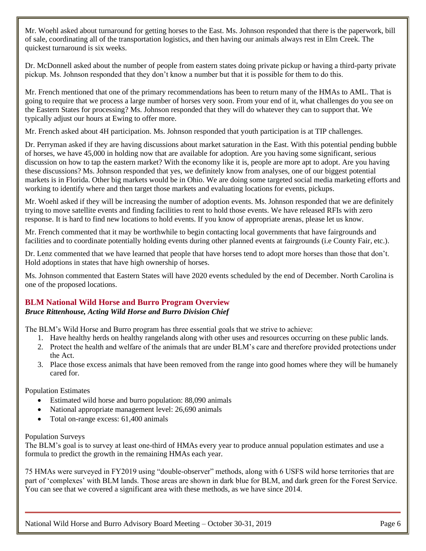Mr. Woehl asked about turnaround for getting horses to the East. Ms. Johnson responded that there is the paperwork, bill of sale, coordinating all of the transportation logistics, and then having our animals always rest in Elm Creek. The quickest turnaround is six weeks.

Dr. McDonnell asked about the number of people from eastern states doing private pickup or having a third-party private pickup. Ms. Johnson responded that they don't know a number but that it is possible for them to do this.

Mr. French mentioned that one of the primary recommendations has been to return many of the HMAs to AML. That is going to require that we process a large number of horses very soon. From your end of it, what challenges do you see on the Eastern States for processing? Ms. Johnson responded that they will do whatever they can to support that. We typically adjust our hours at Ewing to offer more.

Mr. French asked about 4H participation. Ms. Johnson responded that youth participation is at TIP challenges.

Dr. Perryman asked if they are having discussions about market saturation in the East. With this potential pending bubble of horses, we have 45,000 in holding now that are available for adoption. Are you having some significant, serious discussion on how to tap the eastern market? With the economy like it is, people are more apt to adopt. Are you having these discussions? Ms. Johnson responded that yes, we definitely know from analyses, one of our biggest potential markets is in Florida. Other big markets would be in Ohio. We are doing some targeted social media marketing efforts and working to identify where and then target those markets and evaluating locations for events, pickups.

Mr. Woehl asked if they will be increasing the number of adoption events. Ms. Johnson responded that we are definitely trying to move satellite events and finding facilities to rent to hold those events. We have released RFIs with zero response. It is hard to find new locations to hold events. If you know of appropriate arenas, please let us know.

Mr. French commented that it may be worthwhile to begin contacting local governments that have fairgrounds and facilities and to coordinate potentially holding events during other planned events at fairgrounds (i.e County Fair, etc.).

Dr. Lenz commented that we have learned that people that have horses tend to adopt more horses than those that don't. Hold adoptions in states that have high ownership of horses.

Ms. Johnson commented that Eastern States will have 2020 events scheduled by the end of December. North Carolina is one of the proposed locations.

## <span id="page-6-0"></span>**BLM National Wild Horse and Burro Program Overview** *Bruce Rittenhouse, Acting Wild Horse and Burro Division Chief*

The BLM's Wild Horse and Burro program has three essential goals that we strive to achieve:

- 1. Have healthy herds on healthy rangelands along with other uses and resources occurring on these public lands.
- 2. Protect the health and welfare of the animals that are under BLM's care and therefore provided protections under the Act.
- 3. Place those excess animals that have been removed from the range into good homes where they will be humanely cared for.

Population Estimates

- Estimated wild horse and burro population: 88,090 animals
- National appropriate management level: 26,690 animals
- Total on-range excess: 61,400 animals

#### Population Surveys

The BLM's goal is to survey at least one-third of HMAs every year to produce annual population estimates and use a formula to predict the growth in the remaining HMAs each year.

75 HMAs were surveyed in FY2019 using "double-observer" methods, along with 6 USFS wild horse territories that are part of 'complexes' with BLM lands. Those areas are shown in dark blue for BLM, and dark green for the Forest Service. You can see that we covered a significant area with these methods, as we have since 2014.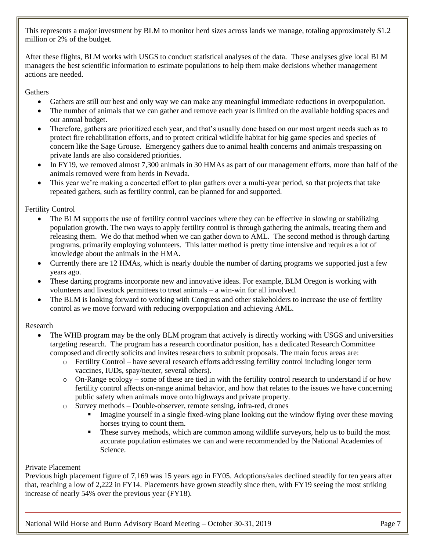This represents a major investment by BLM to monitor herd sizes across lands we manage, totaling approximately \$1.2 million or 2% of the budget.

After these flights, BLM works with USGS to conduct statistical analyses of the data. These analyses give local BLM managers the best scientific information to estimate populations to help them make decisions whether management actions are needed.

## **Gathers**

- Gathers are still our best and only way we can make any meaningful immediate reductions in overpopulation.
- The number of animals that we can gather and remove each year is limited on the available holding spaces and our annual budget.
- Therefore, gathers are prioritized each year, and that's usually done based on our most urgent needs such as to protect fire rehabilitation efforts, and to protect critical wildlife habitat for big game species and species of concern like the Sage Grouse. Emergency gathers due to animal health concerns and animals trespassing on private lands are also considered priorities.
- In FY19, we removed almost 7,300 animals in 30 HMAs as part of our management efforts, more than half of the animals removed were from herds in Nevada.
- This year we're making a concerted effort to plan gathers over a multi-year period, so that projects that take repeated gathers, such as fertility control, can be planned for and supported.

## Fertility Control

- The BLM supports the use of fertility control vaccines where they can be effective in slowing or stabilizing population growth. The two ways to apply fertility control is through gathering the animals, treating them and releasing them. We do that method when we can gather down to AML. The second method is through darting programs, primarily employing volunteers. This latter method is pretty time intensive and requires a lot of knowledge about the animals in the HMA.
- Currently there are 12 HMAs, which is nearly double the number of darting programs we supported just a few years ago.
- These darting programs incorporate new and innovative ideas. For example, BLM Oregon is working with volunteers and livestock permittees to treat animals – a win-win for all involved.
- The BLM is looking forward to working with Congress and other stakeholders to increase the use of fertility control as we move forward with reducing overpopulation and achieving AML.

## Research

- The WHB program may be the only BLM program that actively is directly working with USGS and universities targeting research. The program has a research coordinator position, has a dedicated Research Committee composed and directly solicits and invites researchers to submit proposals. The main focus areas are:
	- o Fertility Control have several research efforts addressing fertility control including longer term vaccines, IUDs, spay/neuter, several others).
	- $\circ$  On-Range ecology some of these are tied in with the fertility control research to understand if or how fertility control affects on-range animal behavior, and how that relates to the issues we have concerning public safety when animals move onto highways and private property.
	- o Survey methods Double-observer, remote sensing, infra-red, drones
		- **•** Imagine yourself in a single fixed-wing plane looking out the window flying over these moving horses trying to count them.
		- **•** These survey methods, which are common among wildlife surveyors, help us to build the most accurate population estimates we can and were recommended by the National Academies of Science.

#### Private Placement

Previous high placement figure of 7,169 was 15 years ago in FY05. Adoptions/sales declined steadily for ten years after that, reaching a low of 2,222 in FY14. Placements have grown steadily since then, with FY19 seeing the most striking increase of nearly 54% over the previous year (FY18).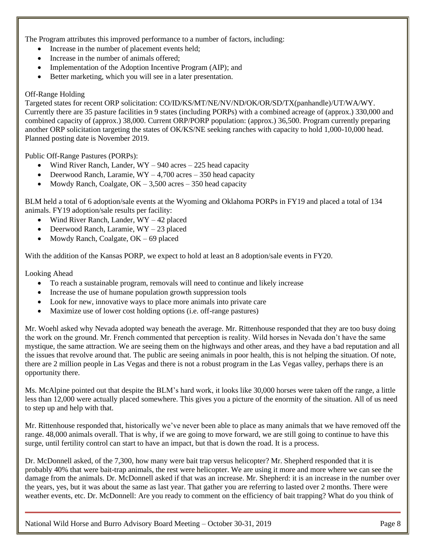The Program attributes this improved performance to a number of factors, including:

- Increase in the number of placement events held;
- Increase in the number of animals offered;
- Implementation of the Adoption Incentive Program (AIP); and
- Better marketing, which you will see in a later presentation.

#### Off-Range Holding

Targeted states for recent ORP solicitation: CO/ID/KS/MT/NE/NV/ND/OK/OR/SD/TX(panhandle)/UT/WA/WY. Currently there are 35 pasture facilities in 9 states (including PORPs) with a combined acreage of (approx.) 330,000 and combined capacity of (approx.) 38,000. Current ORP/PORP population: (approx.) 36,500. Program currently preparing another ORP solicitation targeting the states of OK/KS/NE seeking ranches with capacity to hold 1,000-10,000 head. Planned posting date is November 2019.

Public Off-Range Pastures (PORPs):

- Wind River Ranch, Lander,  $WY 940$  acres  $-225$  head capacity
- Deerwood Ranch, Laramie,  $WY 4,700$  acres  $-350$  head capacity
- Mowdy Ranch, Coalgate,  $OK 3,500$  acres  $350$  head capacity

BLM held a total of 6 adoption/sale events at the Wyoming and Oklahoma PORPs in FY19 and placed a total of 134 animals. FY19 adoption/sale results per facility:

- Wind River Ranch, Lander,  $WY 42$  placed
- Deerwood Ranch, Laramie, WY 23 placed
- Mowdy Ranch, Coalgate, OK 69 placed

With the addition of the Kansas PORP, we expect to hold at least an 8 adoption/sale events in FY20.

Looking Ahead

- To reach a sustainable program, removals will need to continue and likely increase
- Increase the use of humane population growth suppression tools
- Look for new, innovative ways to place more animals into private care
- Maximize use of lower cost holding options (i.e. off-range pastures)

Mr. Woehl asked why Nevada adopted way beneath the average. Mr. Rittenhouse responded that they are too busy doing the work on the ground. Mr. French commented that perception is reality. Wild horses in Nevada don't have the same mystique, the same attraction. We are seeing them on the highways and other areas, and they have a bad reputation and all the issues that revolve around that. The public are seeing animals in poor health, this is not helping the situation. Of note, there are 2 million people in Las Vegas and there is not a robust program in the Las Vegas valley, perhaps there is an opportunity there.

Ms. McAlpine pointed out that despite the BLM's hard work, it looks like 30,000 horses were taken off the range, a little less than 12,000 were actually placed somewhere. This gives you a picture of the enormity of the situation. All of us need to step up and help with that.

Mr. Rittenhouse responded that, historically we've never been able to place as many animals that we have removed off the range. 48,000 animals overall. That is why, if we are going to move forward, we are still going to continue to have this surge, until fertility control can start to have an impact, but that is down the road. It is a process.

Dr. McDonnell asked, of the 7,300, how many were bait trap versus helicopter? Mr. Shepherd responded that it is probably 40% that were bait-trap animals, the rest were helicopter. We are using it more and more where we can see the damage from the animals. Dr. McDonnell asked if that was an increase. Mr. Shepherd: it is an increase in the number over the years, yes, but it was about the same as last year. That gather you are referring to lasted over 2 months. There were weather events, etc. Dr. McDonnell: Are you ready to comment on the efficiency of bait trapping? What do you think of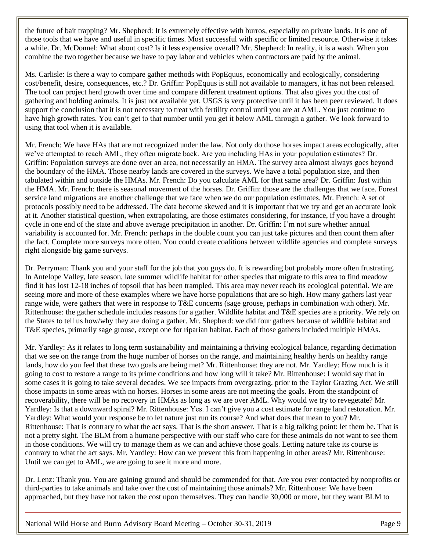the future of bait trapping? Mr. Shepherd: It is extremely effective with burros, especially on private lands. It is one of those tools that we have and useful in specific times. Most successful with specific or limited resource. Otherwise it takes a while. Dr. McDonnel: What about cost? Is it less expensive overall? Mr. Shepherd: In reality, it is a wash. When you combine the two together because we have to pay labor and vehicles when contractors are paid by the animal.

Ms. Carlisle: Is there a way to compare gather methods with PopEquus, economically and ecologically, considering cost/benefit, desire, consequences, etc.? Dr. Griffin: PopEquus is still not available to managers, it has not been released. The tool can project herd growth over time and compare different treatment options. That also gives you the cost of gathering and holding animals. It is just not available yet. USGS is very protective until it has been peer reviewed. It does support the conclusion that it is not necessary to treat with fertility control until you are at AML. You just continue to have high growth rates. You can't get to that number until you get it below AML through a gather. We look forward to using that tool when it is available.

Mr. French: We have HAs that are not recognized under the law. Not only do those horses impact areas ecologically, after we've attempted to reach AML, they often migrate back. Are you including HAs in your population estimates? Dr. Griffin: Population surveys are done over an area, not necessarily an HMA. The survey area almost always goes beyond the boundary of the HMA. Those nearby lands are covered in the surveys. We have a total population size, and then tabulated within and outside the HMAs. Mr. French: Do you calculate AML for that same area? Dr. Griffin: Just within the HMA. Mr. French: there is seasonal movement of the horses. Dr. Griffin: those are the challenges that we face. Forest service land migrations are another challenge that we face when we do our population estimates. Mr. French: A set of protocols possibly need to be addressed. The data become skewed and it is important that we try and get an accurate look at it. Another statistical question, when extrapolating, are those estimates considering, for instance, if you have a drought cycle in one end of the state and above average precipitation in another. Dr. Griffin: I'm not sure whether annual variability is accounted for. Mr. French: perhaps in the double count you can just take pictures and then count them after the fact. Complete more surveys more often. You could create coalitions between wildlife agencies and complete surveys right alongside big game surveys.

Dr. Perryman: Thank you and your staff for the job that you guys do. It is rewarding but probably more often frustrating. In Antelope Valley, late season, late summer wildlife habitat for other species that migrate to this area to find meadow find it has lost 12-18 inches of topsoil that has been trampled. This area may never reach its ecological potential. We are seeing more and more of these examples where we have horse populations that are so high. How many gathers last year range wide, were gathers that were in response to T&E concerns (sage grouse, perhaps in combination with other). Mr. Rittenhouse: the gather schedule includes reasons for a gather. Wildlife habitat and T&E species are a priority. We rely on the States to tell us how/why they are doing a gather. Mr. Shepherd: we did four gathers because of wildlife habitat and T&E species, primarily sage grouse, except one for riparian habitat. Each of those gathers included multiple HMAs.

Mr. Yardley: As it relates to long term sustainability and maintaining a thriving ecological balance, regarding decimation that we see on the range from the huge number of horses on the range, and maintaining healthy herds on healthy range lands, how do you feel that these two goals are being met? Mr. Rittenhouse: they are not. Mr. Yardley: How much is it going to cost to restore a range to its prime conditions and how long will it take? Mr. Rittenhouse: I would say that in some cases it is going to take several decades. We see impacts from overgrazing, prior to the Taylor Grazing Act. We still those impacts in some areas with no horses. Horses in some areas are not meeting the goals. From the standpoint of recoverability, there will be no recovery in HMAs as long as we are over AML. Why would we try to revegetate? Mr. Yardley: Is that a downward spiral? Mr. Rittenhouse: Yes. I can't give you a cost estimate for range land restoration. Mr. Yardley: What would your response be to let nature just run its course? And what does that mean to you? Mr. Rittenhouse: That is contrary to what the act says. That is the short answer. That is a big talking point: let them be. That is not a pretty sight. The BLM from a humane perspective with our staff who care for these animals do not want to see them in those conditions. We will try to manage them as we can and achieve those goals. Letting nature take its course is contrary to what the act says. Mr. Yardley: How can we prevent this from happening in other areas? Mr. Rittenhouse: Until we can get to AML, we are going to see it more and more.

Dr. Lenz: Thank you. You are gaining ground and should be commended for that. Are you ever contacted by nonprofits or third-parties to take animals and take over the cost of maintaining those animals? Mr. Rittenhouse: We have been approached, but they have not taken the cost upon themselves. They can handle 30,000 or more, but they want BLM to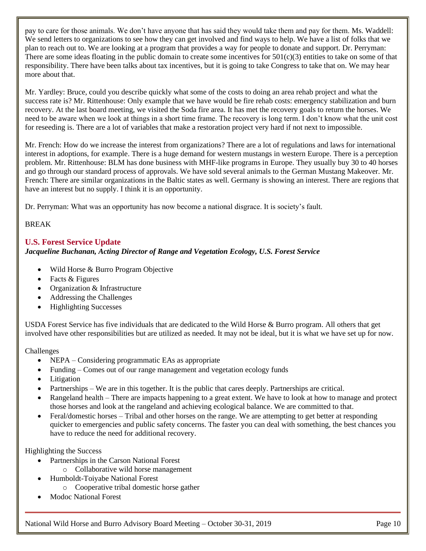pay to care for those animals. We don't have anyone that has said they would take them and pay for them. Ms. Waddell: We send letters to organizations to see how they can get involved and find ways to help. We have a list of folks that we plan to reach out to. We are looking at a program that provides a way for people to donate and support. Dr. Perryman: There are some ideas floating in the public domain to create some incentives for  $501(c)(3)$  entities to take on some of that responsibility. There have been talks about tax incentives, but it is going to take Congress to take that on. We may hear more about that.

Mr. Yardley: Bruce, could you describe quickly what some of the costs to doing an area rehab project and what the success rate is? Mr. Rittenhouse: Only example that we have would be fire rehab costs: emergency stabilization and burn recovery. At the last board meeting, we visited the Soda fire area. It has met the recovery goals to return the horses. We need to be aware when we look at things in a short time frame. The recovery is long term. I don't know what the unit cost for reseeding is. There are a lot of variables that make a restoration project very hard if not next to impossible.

Mr. French: How do we increase the interest from organizations? There are a lot of regulations and laws for international interest in adoptions, for example. There is a huge demand for western mustangs in western Europe. There is a perception problem. Mr. Rittenhouse: BLM has done business with MHF-like programs in Europe. They usually buy 30 to 40 horses and go through our standard process of approvals. We have sold several animals to the German Mustang Makeover. Mr. French: There are similar organizations in the Baltic states as well. Germany is showing an interest. There are regions that have an interest but no supply. I think it is an opportunity.

Dr. Perryman: What was an opportunity has now become a national disgrace. It is society's fault.

## BREAK

# <span id="page-10-0"></span>**U.S. Forest Service Update**

## *Jacqueline Buchanan, Acting Director of Range and Vegetation Ecology, U.S. Forest Service*

- Wild Horse & Burro Program Objective
- Facts & Figures
- Organization & Infrastructure
- Addressing the Challenges
- Highlighting Successes

USDA Forest Service has five individuals that are dedicated to the Wild Horse & Burro program. All others that get involved have other responsibilities but are utilized as needed. It may not be ideal, but it is what we have set up for now.

## Challenges

- NEPA Considering programmatic EAs as appropriate
- Funding Comes out of our range management and vegetation ecology funds
- Litigation
- Partnerships We are in this together. It is the public that cares deeply. Partnerships are critical.
- Rangeland health There are impacts happening to a great extent. We have to look at how to manage and protect those horses and look at the rangeland and achieving ecological balance. We are committed to that.
- Feral/domestic horses Tribal and other horses on the range. We are attempting to get better at responding quicker to emergencies and public safety concerns. The faster you can deal with something, the best chances you have to reduce the need for additional recovery.

## Highlighting the Success

- Partnerships in the Carson National Forest
	- o Collaborative wild horse management
- Humboldt-Toiyabe National Forest
	- o Cooperative tribal domestic horse gather
- Modoc National Forest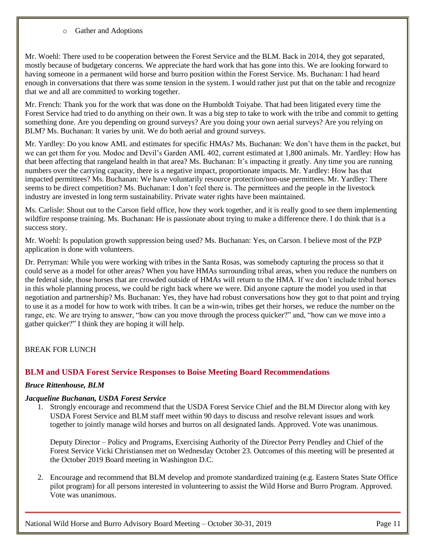o Gather and Adoptions

Mr. Woehl: There used to be cooperation between the Forest Service and the BLM. Back in 2014, they got separated, mostly because of budgetary concerns. We appreciate the hard work that has gone into this. We are looking forward to having someone in a permanent wild horse and burro position within the Forest Service. Ms. Buchanan: I had heard enough in conversations that there was some tension in the system. I would rather just put that on the table and recognize that we and all are committed to working together.

Mr. French: Thank you for the work that was done on the Humboldt Toiyabe. That had been litigated every time the Forest Service had tried to do anything on their own. It was a big step to take to work with the tribe and commit to getting something done. Are you depending on ground surveys? Are you doing your own aerial surveys? Are you relying on BLM? Ms. Buchanan: It varies by unit. We do both aerial and ground surveys.

Mr. Yardley: Do you know AML and estimates for specific HMAs? Ms. Buchanan: We don't have them in the packet, but we can get them for you. Modoc and Devil's Garden AML 402, current estimated at 1,800 animals. Mr. Yardley: How has that been affecting that rangeland health in that area? Ms. Buchanan: It's impacting it greatly. Any time you are running numbers over the carrying capacity, there is a negative impact, proportionate impacts. Mr. Yardley: How has that impacted permittees? Ms. Buchanan: We have voluntarily resource protection/non-use permittees. Mr. Yardley: There seems to be direct competition? Ms. Buchanan: I don't feel there is. The permittees and the people in the livestock industry are invested in long term sustainability. Private water rights have been maintained.

Ms. Carlisle: Shout out to the Carson field office, how they work together, and it is really good to see them implementing wildfire response training. Ms. Buchanan: He is passionate about trying to make a difference there. I do think that is a success story.

Mr. Woehl: Is population growth suppression being used? Ms. Buchanan: Yes, on Carson. I believe most of the PZP application is done with volunteers.

Dr. Perryman: While you were working with tribes in the Santa Rosas, was somebody capturing the process so that it could serve as a model for other areas? When you have HMAs surrounding tribal areas, when you reduce the numbers on the federal side, those horses that are crowded outside of HMAs will return to the HMA. If we don't include tribal horses in this whole planning process, we could be right back where we were. Did anyone capture the model you used in that negotiation and partnership? Ms. Buchanan: Yes, they have had robust conversations how they got to that point and trying to use it as a model for how to work with tribes. It can be a win-win, tribes get their horses, we reduce the number on the range, etc. We are trying to answer, "how can you move through the process quicker?" and, "how can we move into a gather quicker?" I think they are hoping it will help.

BREAK FOR LUNCH

## <span id="page-11-0"></span>**BLM and USDA Forest Service Responses to Boise Meeting Board Recommendations**

## *Bruce Rittenhouse, BLM*

#### *Jacqueline Buchanan, USDA Forest Service*

1. Strongly encourage and recommend that the USDA Forest Service Chief and the BLM Director along with key USDA Forest Service and BLM staff meet within 90 days to discuss and resolve relevant issues and work together to jointly manage wild horses and burros on all designated lands. Approved. Vote was unanimous.

Deputy Director – Policy and Programs, Exercising Authority of the Director Perry Pendley and Chief of the Forest Service Vicki Christiansen met on Wednesday October 23. Outcomes of this meeting will be presented at the October 2019 Board meeting in Washington D.C.

2. Encourage and recommend that BLM develop and promote standardized training (e.g. Eastern States State Office pilot program) for all persons interested in volunteering to assist the Wild Horse and Burro Program. Approved. Vote was unanimous.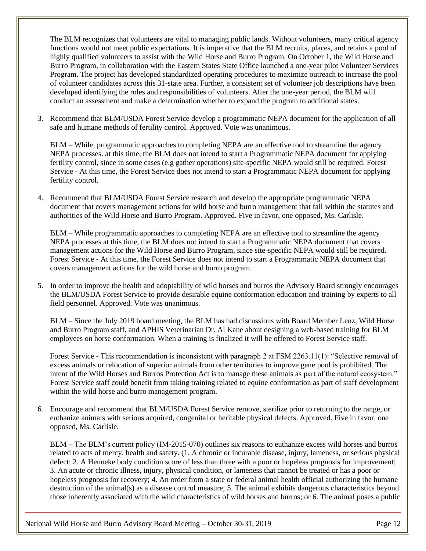The BLM recognizes that volunteers are vital to managing public lands. Without volunteers, many critical agency functions would not meet public expectations. It is imperative that the BLM recruits, places, and retains a pool of highly qualified volunteers to assist with the Wild Horse and Burro Program. On October 1, the Wild Horse and Burro Program, in collaboration with the Eastern States State Office launched a one-year pilot Volunteer Services Program. The project has developed standardized operating procedures to maximize outreach to increase the pool of volunteer candidates across this 31-state area. Further, a consistent set of volunteer job descriptions have been developed identifying the roles and responsibilities of volunteers. After the one-year period, the BLM will conduct an assessment and make a determination whether to expand the program to additional states.

3. Recommend that BLM/USDA Forest Service develop a programmatic NEPA document for the application of all safe and humane methods of fertility control. Approved. Vote was unanimous.

BLM – While, programmatic approaches to completing NEPA are an effective tool to streamline the agency NEPA processes. at this time, the BLM does not intend to start a Programmatic NEPA document for applying fertility control, since in some cases (e.g gather operations) site-specific NEPA would still be required. Forest Service - At this time, the Forest Service does not intend to start a Programmatic NEPA document for applying fertility control.

4. Recommend that BLM/USDA Forest Service research and develop the appropriate programmatic NEPA document that covers management actions for wild horse and burro management that fall within the statutes and authorities of the Wild Horse and Burro Program. Approved. Five in favor, one opposed, Ms. Carlisle.

BLM – While programmatic approaches to completing NEPA are an effective tool to streamline the agency NEPA processes at this time, the BLM does not intend to start a Programmatic NEPA document that covers management actions for the Wild Horse and Burro Program, since site-specific NEPA would still be required. Forest Service - At this time, the Forest Service does not intend to start a Programmatic NEPA document that covers management actions for the wild horse and burro program.

5. In order to improve the health and adoptability of wild horses and burros the Advisory Board strongly encourages the BLM/USDA Forest Service to provide desirable equine conformation education and training by experts to all field personnel. Approved. Vote was unanimous.

BLM – Since the July 2019 board meeting, the BLM has had discussions with Board Member Lenz, Wild Horse and Burro Program staff, and APHIS Veterinarian Dr. Al Kane about designing a web-based training for BLM employees on horse conformation. When a training is finalized it will be offered to Forest Service staff.

Forest Service - This recommendation is inconsistent with paragraph 2 at FSM 2263.11(1): "Selective removal of excess animals or relocation of superior animals from other territories to improve gene pool is prohibited. The intent of the Wild Horses and Burros Protection Act is to manage these animals as part of the natural ecosystem." Forest Service staff could benefit from taking training related to equine conformation as part of staff development within the wild horse and burro management program.

6. Encourage and recommend that BLM/USDA Forest Service remove, sterilize prior to returning to the range, or euthanize animals with serious acquired, congenital or heritable physical defects. Approved. Five in favor, one opposed, Ms. Carlisle.

BLM – The BLM's current policy (IM-2015-070) outlines six reasons to euthanize excess wild horses and burros related to acts of mercy, health and safety. (1. A chronic or incurable disease, injury, lameness, or serious physical defect; 2. A Henneke body condition score of less than three with a poor or hopeless prognosis for improvement; 3. An acute or chronic illness, injury, physical condition, or lameness that cannot be treated or has a poor or hopeless prognosis for recovery; 4. An order from a state or federal animal health official authorizing the humane destruction of the animal(s) as a disease control measure; 5. The animal exhibits dangerous characteristics beyond those inherently associated with the wild characteristics of wild horses and burros; or 6. The animal poses a public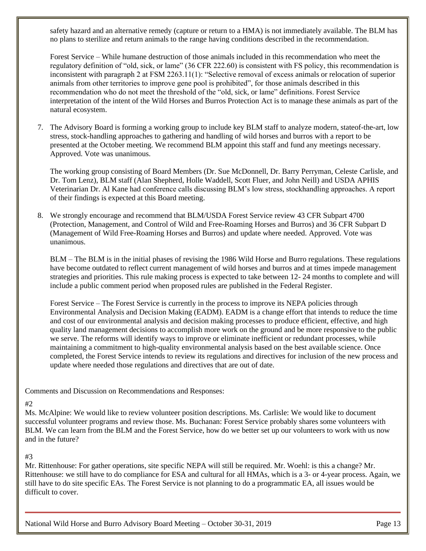safety hazard and an alternative remedy (capture or return to a HMA) is not immediately available. The BLM has no plans to sterilize and return animals to the range having conditions described in the recommendation.

Forest Service – While humane destruction of those animals included in this recommendation who meet the regulatory definition of "old, sick, or lame" (36 CFR 222.60) is consistent with FS policy, this recommendation is inconsistent with paragraph 2 at FSM 2263.11(1): "Selective removal of excess animals or relocation of superior animals from other territories to improve gene pool is prohibited", for those animals described in this recommendation who do not meet the threshold of the "old, sick, or lame" definitions. Forest Service interpretation of the intent of the Wild Horses and Burros Protection Act is to manage these animals as part of the natural ecosystem.

7. The Advisory Board is forming a working group to include key BLM staff to analyze modern, stateof-the-art, low stress, stock-handling approaches to gathering and handling of wild horses and burros with a report to be presented at the October meeting. We recommend BLM appoint this staff and fund any meetings necessary. Approved. Vote was unanimous.

The working group consisting of Board Members (Dr. Sue McDonnell, Dr. Barry Perryman, Celeste Carlisle, and Dr. Tom Lenz), BLM staff (Alan Shepherd, Holle Waddell, Scott Fluer, and John Neill) and USDA APHIS Veterinarian Dr. Al Kane had conference calls discussing BLM's low stress, stockhandling approaches. A report of their findings is expected at this Board meeting.

8. We strongly encourage and recommend that BLM/USDA Forest Service review 43 CFR Subpart 4700 (Protection, Management, and Control of Wild and Free-Roaming Horses and Burros) and 36 CFR Subpart D (Management of Wild Free-Roaming Horses and Burros) and update where needed. Approved. Vote was unanimous.

BLM – The BLM is in the initial phases of revising the 1986 Wild Horse and Burro regulations. These regulations have become outdated to reflect current management of wild horses and burros and at times impede management strategies and priorities. This rule making process is expected to take between 12- 24 months to complete and will include a public comment period when proposed rules are published in the Federal Register.

Forest Service – The Forest Service is currently in the process to improve its NEPA policies through Environmental Analysis and Decision Making (EADM). EADM is a change effort that intends to reduce the time and cost of our environmental analysis and decision making processes to produce efficient, effective, and high quality land management decisions to accomplish more work on the ground and be more responsive to the public we serve. The reforms will identify ways to improve or eliminate inefficient or redundant processes, while maintaining a commitment to high-quality environmental analysis based on the best available science. Once completed, the Forest Service intends to review its regulations and directives for inclusion of the new process and update where needed those regulations and directives that are out of date.

Comments and Discussion on Recommendations and Responses:

## #2

Ms. McAlpine: We would like to review volunteer position descriptions. Ms. Carlisle: We would like to document successful volunteer programs and review those. Ms. Buchanan: Forest Service probably shares some volunteers with BLM. We can learn from the BLM and the Forest Service, how do we better set up our volunteers to work with us now and in the future?

# #3

Mr. Rittenhouse: For gather operations, site specific NEPA will still be required. Mr. Woehl: is this a change? Mr. Rittenhouse: we still have to do compliance for ESA and cultural for all HMAs, which is a 3- or 4-year process. Again, we still have to do site specific EAs. The Forest Service is not planning to do a programmatic EA, all issues would be difficult to cover.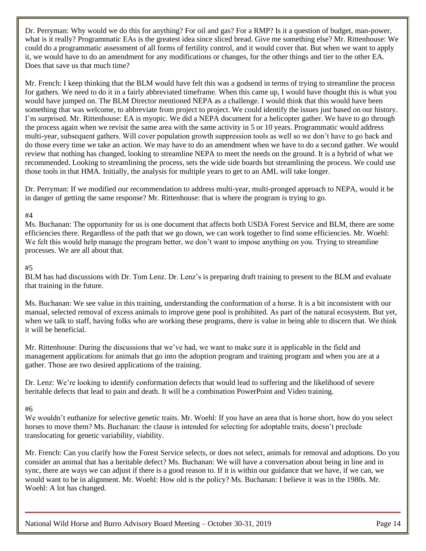Dr. Perryman: Why would we do this for anything? For oil and gas? For a RMP? Is it a question of budget, man-power, what is it really? Programmatic EAs is the greatest idea since sliced bread. Give me something else? Mr. Rittenhouse: We could do a programmatic assessment of all forms of fertility control, and it would cover that. But when we want to apply it, we would have to do an amendment for any modifications or changes, for the other things and tier to the other EA. Does that save us that much time?

Mr. French: I keep thinking that the BLM would have felt this was a godsend in terms of trying to streamline the process for gathers. We need to do it in a fairly abbreviated timeframe. When this came up, I would have thought this is what you would have jumped on. The BLM Director mentioned NEPA as a challenge. I would think that this would have been something that was welcome, to abbreviate from project to project. We could identify the issues just based on our history. I'm surprised. Mr. Rittenhouse: EA is myopic. We did a NEPA document for a helicopter gather. We have to go through the process again when we revisit the same area with the same activity in 5 or 10 years. Programmatic would address multi-year, subsequent gathers. Will cover population growth suppression tools as well so we don't have to go back and do those every time we take an action. We may have to do an amendment when we have to do a second gather. We would review that nothing has changed, looking to streamline NEPA to meet the needs on the ground. It is a hybrid of what we recommended. Looking to streamlining the process, sets the wide side boards but streamlining the process. We could use those tools in that HMA. Initially, the analysis for multiple years to get to an AML will take longer.

Dr. Perryman: If we modified our recommendation to address multi-year, multi-pronged approach to NEPA, would it be in danger of getting the same response? Mr. Rittenhouse: that is where the program is trying to go.

## #4

Ms. Buchanan: The opportunity for us is one document that affects both USDA Forest Service and BLM, there are some efficiencies there. Regardless of the path that we go down, we can work together to find some efficiencies. Mr. Woehl: We felt this would help manage the program better, we don't want to impose anything on you. Trying to streamline processes. We are all about that.

## #5

BLM has had discussions with Dr. Tom Lenz. Dr. Lenz's is preparing draft training to present to the BLM and evaluate that training in the future.

Ms. Buchanan: We see value in this training, understanding the conformation of a horse. It is a bit inconsistent with our manual, selected removal of excess animals to improve gene pool is prohibited. As part of the natural ecosystem. But yet, when we talk to staff, having folks who are working these programs, there is value in being able to discern that. We think it will be beneficial.

Mr. Rittenhouse: During the discussions that we've had, we want to make sure it is applicable in the field and management applications for animals that go into the adoption program and training program and when you are at a gather. Those are two desired applications of the training.

Dr. Lenz: We're looking to identify conformation defects that would lead to suffering and the likelihood of severe heritable defects that lead to pain and death. It will be a combination PowerPoint and Video training.

#### #6

We wouldn't euthanize for selective genetic traits. Mr. Woehl: If you have an area that is horse short, how do you select horses to move them? Ms. Buchanan: the clause is intended for selecting for adoptable traits, doesn't preclude translocating for genetic variability, viability.

Mr. French: Can you clarify how the Forest Service selects, or does not select, animals for removal and adoptions. Do you consider an animal that has a heritable defect? Ms. Buchanan: We will have a conversation about being in line and in sync, there are ways we can adjust if there is a good reason to. If it is within our guidance that we have, if we can, we would want to be in alignment. Mr. Woehl: How old is the policy? Ms. Buchanan: I believe it was in the 1980s. Mr. Woehl: A lot has changed.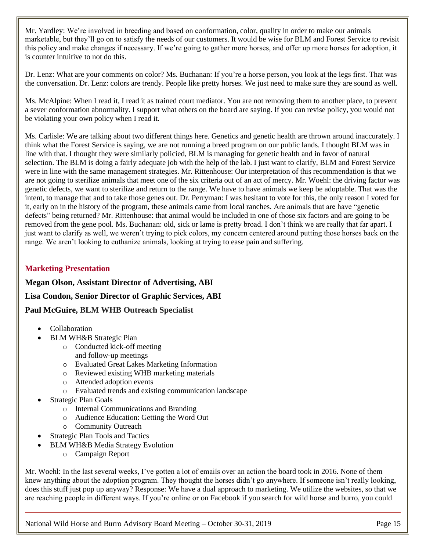Mr. Yardley: We're involved in breeding and based on conformation, color, quality in order to make our animals marketable, but they'll go on to satisfy the needs of our customers. It would be wise for BLM and Forest Service to revisit this policy and make changes if necessary. If we're going to gather more horses, and offer up more horses for adoption, it is counter intuitive to not do this.

Dr. Lenz: What are your comments on color? Ms. Buchanan: If you're a horse person, you look at the legs first. That was the conversation. Dr. Lenz: colors are trendy. People like pretty horses. We just need to make sure they are sound as well.

Ms. McAlpine: When I read it, I read it as trained court mediator. You are not removing them to another place, to prevent a sever conformation abnormality. I support what others on the board are saying. If you can revise policy, you would not be violating your own policy when I read it.

Ms. Carlisle: We are talking about two different things here. Genetics and genetic health are thrown around inaccurately. I think what the Forest Service is saying, we are not running a breed program on our public lands. I thought BLM was in line with that. I thought they were similarly policied, BLM is managing for genetic health and in favor of natural selection. The BLM is doing a fairly adequate job with the help of the lab. I just want to clarify, BLM and Forest Service were in line with the same management strategies. Mr. Rittenhouse: Our interpretation of this recommendation is that we are not going to sterilize animals that meet one of the six criteria out of an act of mercy. Mr. Woehl: the driving factor was genetic defects, we want to sterilize and return to the range. We have to have animals we keep be adoptable. That was the intent, to manage that and to take those genes out. Dr. Perryman: I was hesitant to vote for this, the only reason I voted for it, early on in the history of the program, these animals came from local ranches. Are animals that are have "genetic defects" being returned? Mr. Rittenhouse: that animal would be included in one of those six factors and are going to be removed from the gene pool. Ms. Buchanan: old, sick or lame is pretty broad. I don't think we are really that far apart. I just want to clarify as well, we weren't trying to pick colors, my concern centered around putting those horses back on the range. We aren't looking to euthanize animals, looking at trying to ease pain and suffering.

# <span id="page-15-0"></span>**Marketing Presentation**

**Megan Olson, Assistant Director of Advertising, ABI**

**Lisa Condon, Senior Director of Graphic Services, ABI**

**Paul McGuire, BLM WHB Outreach Specialist**

- Collaboration
- BLM WH&B Strategic Plan
	- o Conducted kick-off meeting and follow-up meetings
	- o Evaluated Great Lakes Marketing Information
	- o Reviewed existing WHB marketing materials
	- o Attended adoption events
	- o Evaluated trends and existing communication landscape
- Strategic Plan Goals
	- o Internal Communications and Branding
	- o Audience Education: Getting the Word Out
	- o Community Outreach
- Strategic Plan Tools and Tactics
- BLM WH&B Media Strategy Evolution
	- o Campaign Report

Mr. Woehl: In the last several weeks, I've gotten a lot of emails over an action the board took in 2016. None of them knew anything about the adoption program. They thought the horses didn't go anywhere. If someone isn't really looking, does this stuff just pop up anyway? Response: We have a dual approach to marketing. We utilize the websites, so that we are reaching people in different ways. If you're online or on Facebook if you search for wild horse and burro, you could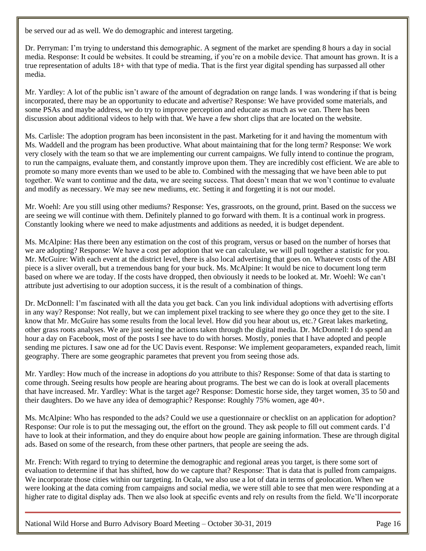be served our ad as well. We do demographic and interest targeting.

Dr. Perryman: I'm trying to understand this demographic. A segment of the market are spending 8 hours a day in social media. Response: It could be websites. It could be streaming, if you're on a mobile device. That amount has grown. It is a true representation of adults 18+ with that type of media. That is the first year digital spending has surpassed all other media.

Mr. Yardley: A lot of the public isn't aware of the amount of degradation on range lands. I was wondering if that is being incorporated, there may be an opportunity to educate and advertise? Response: We have provided some materials, and some PSAs and maybe address, we do try to improve perception and educate as much as we can. There has been discussion about additional videos to help with that. We have a few short clips that are located on the website.

Ms. Carlisle: The adoption program has been inconsistent in the past. Marketing for it and having the momentum with Ms. Waddell and the program has been productive. What about maintaining that for the long term? Response: We work very closely with the team so that we are implementing our current campaigns. We fully intend to continue the program, to run the campaigns, evaluate them, and constantly improve upon them. They are incredibly cost efficient. We are able to promote so many more events than we used to be able to. Combined with the messaging that we have been able to put together. We want to continue and the data, we are seeing success. That doesn't mean that we won't continue to evaluate and modify as necessary. We may see new mediums, etc. Setting it and forgetting it is not our model.

Mr. Woehl: Are you still using other mediums? Response: Yes, grassroots, on the ground, print. Based on the success we are seeing we will continue with them. Definitely planned to go forward with them. It is a continual work in progress. Constantly looking where we need to make adjustments and additions as needed, it is budget dependent.

Ms. McAlpine: Has there been any estimation on the cost of this program, versus or based on the number of horses that we are adopting? Response: We have a cost per adoption that we can calculate, we will pull together a statistic for you. Mr. McGuire: With each event at the district level, there is also local advertising that goes on. Whatever costs of the ABI piece is a sliver overall, but a tremendous bang for your buck. Ms. McAlpine: It would be nice to document long term based on where we are today. If the costs have dropped, then obviously it needs to be looked at. Mr. Woehl: We can't attribute just advertising to our adoption success, it is the result of a combination of things.

Dr. McDonnell: I'm fascinated with all the data you get back. Can you link individual adoptions with advertising efforts in any way? Response: Not really, but we can implement pixel tracking to see where they go once they get to the site. I know that Mr. McGuire has some results from the local level. How did you hear about us, etc.? Great lakes marketing, other grass roots analyses. We are just seeing the actions taken through the digital media. Dr. McDonnell: I do spend an hour a day on Facebook, most of the posts I see have to do with horses. Mostly, ponies that I have adopted and people sending me pictures. I saw one ad for the UC Davis event. Response: We implement geoparameters, expanded reach, limit geography. There are some geographic parametes that prevent you from seeing those ads.

Mr. Yardley: How much of the increase in adoptions *do* you attribute to this? Response: Some of that data is starting to come through. Seeing results how people are hearing about programs. The best we can do is look at overall placements that have increased. Mr. Yardley: What is the target age? Response: Domestic horse side, they target women, 35 to 50 and their daughters. Do we have any idea of demographic? Response: Roughly 75% women, age 40+.

Ms. McAlpine: Who has responded to the ads? Could we use a questionnaire or checklist on an application for adoption? Response: Our role is to put the messaging out, the effort on the ground. They ask people to fill out comment cards. I'd have to look at their information, and they do enquire about how people are gaining information. These are through digital ads. Based on some of the research, from these other partners, that people are seeing the ads.

Mr. French: With regard to trying to determine the demographic and regional areas you target, is there some sort of evaluation to determine if that has shifted, how do we capture that? Response: That is data that is pulled from campaigns. We incorporate those cities within our targeting. In Ocala, we also use a lot of data in terms of geolocation. When we were looking at the data coming from campaigns and social media, we were still able to see that men were responding at a higher rate to digital display ads. Then we also look at specific events and rely on results from the field. We'll incorporate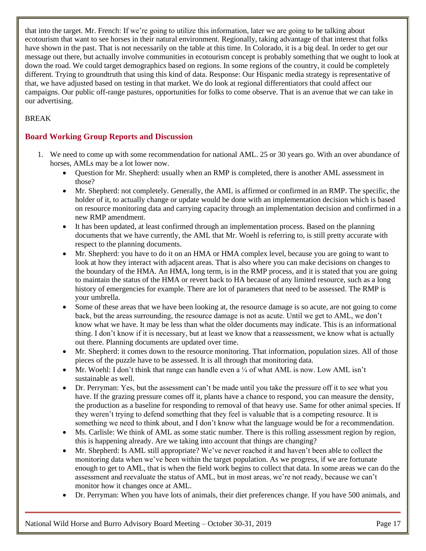that into the target. Mr. French: If we're going to utilize this information, later we are going to be talking about ecotourism that want to see horses in their natural environment. Regionally, taking advantage of that interest that folks have shown in the past. That is not necessarily on the table at this time. In Colorado, it is a big deal. In order to get our message out there, but actually involve communities in ecotourism concept is probably something that we ought to look at down the road. We could target demographics based on regions. In some regions of the country, it could be completely different. Trying to groundtruth that using this kind of data. Response: Our Hispanic media strategy is representative of that, we have adjusted based on testing in that market. We do look at regional differentiators that could affect our campaigns. Our public off-range pastures, opportunities for folks to come observe. That is an avenue that we can take in our advertising.

# BREAK

# <span id="page-17-0"></span>**Board Working Group Reports and Discussion**

- 1. We need to come up with some recommendation for national AML. 25 or 30 years go. With an over abundance of horses, AMLs may be a lot lower now.
	- Question for Mr. Shepherd: usually when an RMP is completed, there is another AML assessment in those?
	- Mr. Shepherd: not completely. Generally, the AML is affirmed or confirmed in an RMP. The specific, the holder of it, to actually change or update would be done with an implementation decision which is based on resource monitoring data and carrying capacity through an implementation decision and confirmed in a new RMP amendment.
	- It has been updated, at least confirmed through an implementation process. Based on the planning documents that we have currently, the AML that Mr. Woehl is referring to, is still pretty accurate with respect to the planning documents.
	- Mr. Shepherd: you have to do it on an HMA or HMA complex level, because you are going to want to look at how they interact with adjacent areas. That is also where you can make decisions on changes to the boundary of the HMA. An HMA, long term, is in the RMP process, and it is stated that you are going to maintain the status of the HMA or revert back to HA because of any limited resource, such as a long history of emergencies for example. There are lot of parameters that need to be assessed. The RMP is your umbrella.
	- Some of these areas that we have been looking at, the resource damage is so acute, are not going to come back, but the areas surrounding, the resource damage is not as acute. Until we get to AML, we don't know what we have. It may be less than what the older documents may indicate. This is an informational thing. I don't know if it is necessary, but at least we know that a reassessment, we know what is actually out there. Planning documents are updated over time.
	- Mr. Shepherd: it comes down to the resource monitoring. That information, population sizes. All of those pieces of the puzzle have to be assessed. It is all through that monitoring data.
	- Mr. Woehl: I don't think that range can handle even a  $\frac{1}{4}$  of what AML is now. Low AML isn't sustainable as well.
	- Dr. Perryman: Yes, but the assessment can't be made until you take the pressure off it to see what you have. If the grazing pressure comes off it, plants have a chance to respond, you can measure the density, the production as a baseline for responding to removal of that heavy use. Same for other animal species. If they weren't trying to defend something that they feel is valuable that is a competing resource. It is something we need to think about, and I don't know what the language would be for a recommendation.
	- Ms. Carlisle: We think of AML as some static number. There is this rolling assessment region by region, this is happening already. Are we taking into account that things are changing?
	- Mr. Shepherd: Is AML still appropriate? We've never reached it and haven't been able to collect the monitoring data when we've been within the target population. As we progress, if we are fortunate enough to get to AML, that is when the field work begins to collect that data. In some areas we can do the assessment and reevaluate the status of AML, but in most areas, we're not ready, because we can't monitor how it changes once at AML.
	- Dr. Perryman: When you have lots of animals, their diet preferences change. If you have 500 animals, and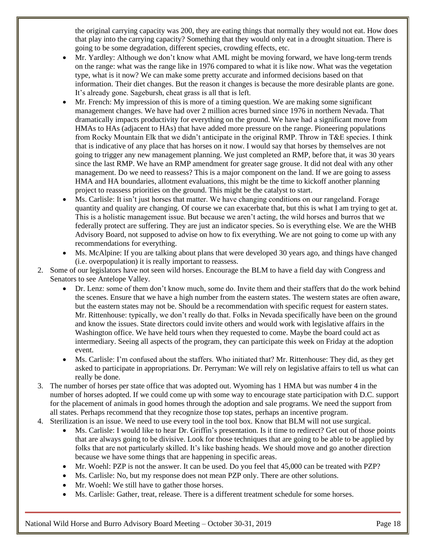the original carrying capacity was 200, they are eating things that normally they would not eat. How does that play into the carrying capacity? Something that they would only eat in a drought situation. There is going to be some degradation, different species, crowding effects, etc.

- Mr. Yardley: Although we don't know what AML might be moving forward, we have long-term trends on the range: what was the range like in 1976 compared to what it is like now. What was the vegetation type, what is it now? We can make some pretty accurate and informed decisions based on that information. Their diet changes. But the reason it changes is because the more desirable plants are gone. It's already gone. Sagebursh, cheat grass is all that is left.
- Mr. French: My impression of this is more of a timing question. We are making some significant management changes. We have had over 2 million acres burned since 1976 in northern Nevada. That dramatically impacts productivity for everything on the ground. We have had a significant move from HMAs to HAs (adjacent to HAs) that have added more pressure on the range. Pioneering populations from Rocky Mountain Elk that we didn't anticipate in the original RMP. Throw in T&E species. I think that is indicative of any place that has horses on it now. I would say that horses by themselves are not going to trigger any new management planning. We just completed an RMP, before that, it was 30 years since the last RMP. We have an RMP amendment for greater sage grouse. It did not deal with any other management. Do we need to reassess? This is a major component on the land. If we are going to assess HMA and HA boundaries, allotment evaluations, this might be the time to kickoff another planning project to reassess priorities on the ground. This might be the catalyst to start.
- Ms. Carlisle: It isn't just horses that matter. We have changing conditions on our rangeland. Forage quantity and quality are changing. Of course we can exacerbate that, but this is what I am trying to get at. This is a holistic management issue. But because we aren't acting, the wild horses and burros that we federally protect are suffering. They are just an indicator species. So is everything else. We are the WHB Advisory Board, not supposed to advise on how to fix everything. We are not going to come up with any recommendations for everything.
- Ms. McAlpine: If you are talking about plans that were developed 30 years ago, and things have changed (i.e. overpopulation) it is really important to reassess.
- 2. Some of our legislators have not seen wild horses. Encourage the BLM to have a field day with Congress and Senators to see Antelope Valley.
	- Dr. Lenz: some of them don't know much, some do. Invite them and their staffers that do the work behind the scenes. Ensure that we have a high number from the eastern states. The western states are often aware, but the eastern states may not be. Should be a recommendation with specific request for eastern states. Mr. Rittenhouse: typically, we don't really do that. Folks in Nevada specifically have been on the ground and know the issues. State directors could invite others and would work with legislative affairs in the Washington office. We have held tours when they requested to come. Maybe the board could act as intermediary. Seeing all aspects of the program, they can participate this week on Friday at the adoption event.
	- Ms. Carlisle: I'm confused about the staffers. Who initiated that? Mr. Rittenhouse: They did, as they get asked to participate in appropriations. Dr. Perryman: We will rely on legislative affairs to tell us what can really be done.
- 3. The number of horses per state office that was adopted out. Wyoming has 1 HMA but was number 4 in the number of horses adopted. If we could come up with some way to encourage state participation with D.C. support for the placement of animals in good homes through the adoption and sale programs. We need the support from all states. Perhaps recommend that they recognize those top states, perhaps an incentive program.
- 4. Sterilization is an issue. We need to use every tool in the tool box. Know that BLM will not use surgical.
	- Ms. Carlisle: I would like to hear Dr. Griffin's presentation. Is it time to redirect? Get out of those points that are always going to be divisive. Look for those techniques that are going to be able to be applied by folks that are not particularly skilled. It's like bashing heads. We should move and go another direction because we have some things that are happening in specific areas.
	- Mr. Woehl: PZP is not the answer. It can be used. Do you feel that 45,000 can be treated with PZP?
	- Ms. Carlisle: No, but my response does not mean PZP only. There are other solutions.
	- Mr. Woehl: We still have to gather those horses.
	- Ms. Carlisle: Gather, treat, release. There is a different treatment schedule for some horses.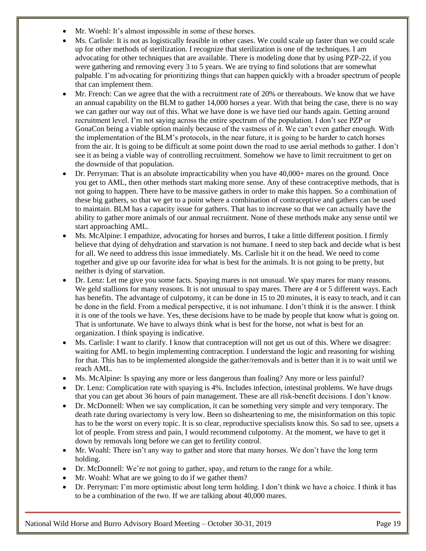- Mr. Woehl: It's almost impossible in some of these horses.
- Ms. Carlisle: It is not as logistically feasible in other cases. We could scale up faster than we could scale up for other methods of sterilization. I recognize that sterilization is one of the techniques. I am advocating for other techniques that are available. There is modeling done that by using PZP-22, if you were gathering and removing every 3 to 5 years. We are trying to find solutions that are somewhat palpable. I'm advocating for prioritizing things that can happen quickly with a broader spectrum of people that can implement them.
- Mr. French: Can we agree that the with a recruitment rate of 20% or thereabouts. We know that we have an annual capability on the BLM to gather 14,000 horses a year. With that being the case, there is no way we can gather our way out of this. What we have done is we have tied our hands again. Getting around recruitment level. I'm not saying across the entire spectrum of the population. I don't see PZP or GonaCon being a viable option mainly because of the vastness of it. We can't even gather enough. With the implementation of the BLM's protocols, in the near future, it is going to be harder to catch horses from the air. It is going to be difficult at some point down the road to use aerial methods to gather. I don't see it as being a viable way of controlling recruitment. Somehow we have to limit recruitment to get on the downside of that population.
- Dr. Perryman: That is an absolute impracticability when you have 40,000+ mares on the ground. Once you get to AML, then other methods start making more sense. Any of these contraceptive methods, that is not going to happen. There have to be massive gathers in order to make this happen. So a combination of these big gathers, so that we get to a point where a combination of contraceptive and gathers can be used to maintain. BLM has a capacity issue for gathers. That has to increase so that we can actually have the ability to gather more animals of our annual recruitment. None of these methods make any sense until we start approaching AML.
- Ms. McAlpine: I empathize, advocating for horses and burros, I take a little different position. I firmly believe that dying of dehydration and starvation is not humane. I need to step back and decide what is best for all. We need to address this issue immediately. Ms. Carlisle hit it on the head. We need to come together and give up our favorite idea for what is best for the animals. It is not going to be pretty, but neither is dying of starvation.
- Dr. Lenz: Let me give you some facts. Spaying mares is not unusual. We spay mares for many reasons. We geld stallions for many reasons. It is not unusual to spay mares. There are 4 or 5 different ways. Each has benefits. The advantage of culpotomy, it can be done in 15 to 20 minutes, it is easy to teach, and it can be done in the field. From a medical perspective, it is not inhumane. I don't think it is the answer. I think it is one of the tools we have. Yes, these decisions have to be made by people that know what is going on. That is unfortunate. We have to always think what is best for the horse, not what is best for an organization. I think spaying is indicative.
- Ms. Carlisle: I want to clarify. I know that contraception will not get us out of this. Where we disagree: waiting for AML to begin implementing contraception. I understand the logic and reasoning for wishing for that. This has to be implemented alongside the gather/removals and is better than it is to wait until we reach AML.
- Ms. McAlpine: Is spaying any more or less dangerous than foaling? Any more or less painful?
- Dr. Lenz: Complication rate with spaying is 4%. Includes infection, intestinal problems. We have drugs that you can get about 36 hours of pain management. These are all risk-benefit decisions. I don't know.
- Dr. McDonnell: When we say complication, it can be something very simple and very temporary. The death rate during ovariectomy is very low. Been so disheartening to me, the misinformation on this topic has to be the worst on every topic. It is so clear, reproductive specialists know this. So sad to see, upsets a lot of people. From stress and pain, I would recommend culpotomy. At the moment, we have to get it down by removals long before we can get to fertility control.
- Mr. Woahl: There isn't any way to gather and store that many horses. We don't have the long term holding.
- Dr. McDonnell: We're not going to gather, spay, and return to the range for a while.
- Mr. Woahl: What are we going to do if we gather them?
- Dr. Perryman: I'm more optimistic about long term holding. I don't think we have a choice. I think it has to be a combination of the two. If we are talking about 40,000 mares.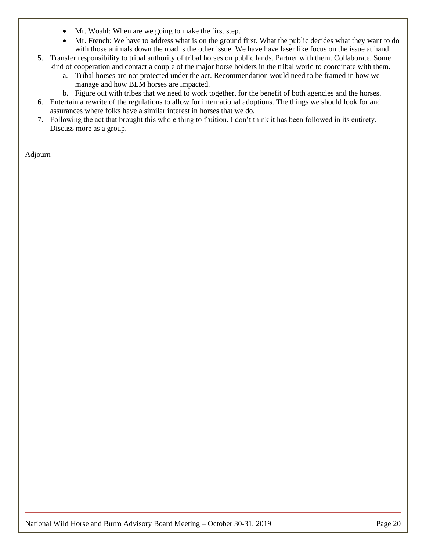- Mr. Woahl: When are we going to make the first step.
- Mr. French: We have to address what is on the ground first. What the public decides what they want to do with those animals down the road is the other issue. We have have laser like focus on the issue at hand.
- 5. Transfer responsibility to tribal authority of tribal horses on public lands. Partner with them. Collaborate. Some kind of cooperation and contact a couple of the major horse holders in the tribal world to coordinate with them.
	- a. Tribal horses are not protected under the act. Recommendation would need to be framed in how we manage and how BLM horses are impacted.
	- b. Figure out with tribes that we need to work together, for the benefit of both agencies and the horses.
- 6. Entertain a rewrite of the regulations to allow for international adoptions. The things we should look for and assurances where folks have a similar interest in horses that we do.
- 7. Following the act that brought this whole thing to fruition, I don't think it has been followed in its entirety. Discuss more as a group.

Adjourn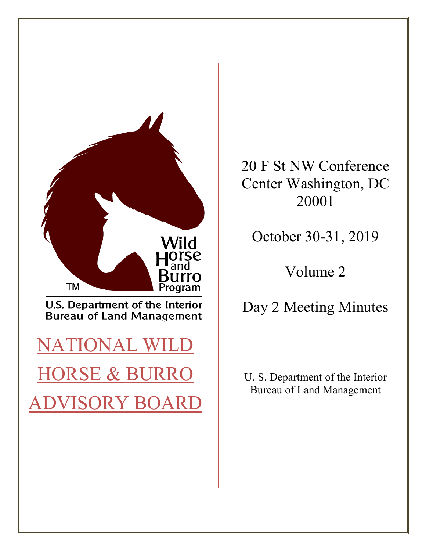

20 F St NW Conference Center Washington, DC 20001

October 30-31, 2019

Volume 2

Day 2 Meeting Minutes

U. S. Department of the Interior Bureau of Land Management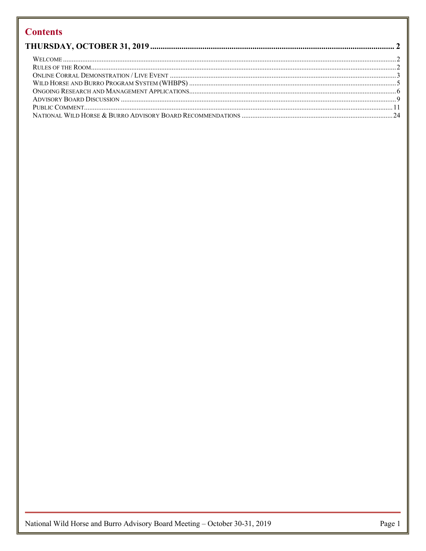# **Contents**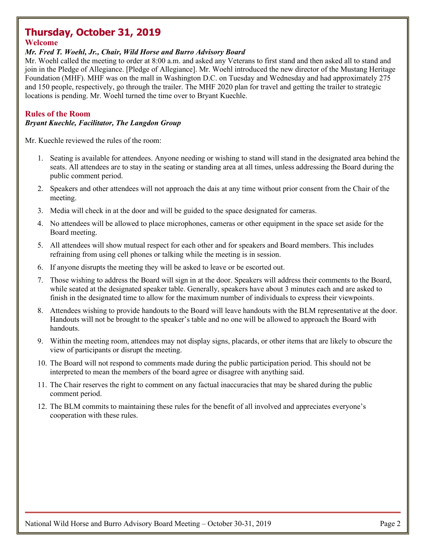# <span id="page-23-0"></span>**Thursday, October 31, 2019**

## <span id="page-23-1"></span>**Welcome**

#### *Mr. Fred T. Woehl, Jr., Chair, Wild Horse and Burro Advisory Board*

Mr. Woehl called the meeting to order at 8:00 a.m. and asked any Veterans to first stand and then asked all to stand and join in the Pledge of Allegiance. [Pledge of Allegiance]. Mr. Woehl introduced the new director of the Mustang Heritage Foundation (MHF). MHF was on the mall in Washington D.C. on Tuesday and Wednesday and had approximately 275 and 150 people, respectively, go through the trailer. The MHF 2020 plan for travel and getting the trailer to strategic locations is pending. Mr. Woehl turned the time over to Bryant Kuechle.

## <span id="page-23-2"></span>**Rules of the Room**

## *Bryant Kuechle, Facilitator, The Langdon Group*

Mr. Kuechle reviewed the rules of the room:

- 1. Seating is available for attendees. Anyone needing or wishing to stand will stand in the designated area behind the seats. All attendees are to stay in the seating or standing area at all times, unless addressing the Board during the public comment period.
- 2. Speakers and other attendees will not approach the dais at any time without prior consent from the Chair of the meeting.
- 3. Media will check in at the door and will be guided to the space designated for cameras.
- 4. No attendees will be allowed to place microphones, cameras or other equipment in the space set aside for the Board meeting.
- 5. All attendees will show mutual respect for each other and for speakers and Board members. This includes refraining from using cell phones or talking while the meeting is in session.
- 6. If anyone disrupts the meeting they will be asked to leave or be escorted out.
- 7. Those wishing to address the Board will sign in at the door. Speakers will address their comments to the Board, while seated at the designated speaker table. Generally, speakers have about 3 minutes each and are asked to finish in the designated time to allow for the maximum number of individuals to express their viewpoints.
- 8. Attendees wishing to provide handouts to the Board will leave handouts with the BLM representative at the door. Handouts will not be brought to the speaker's table and no one will be allowed to approach the Board with handouts.
- 9. Within the meeting room, attendees may not display signs, placards, or other items that are likely to obscure the view of participants or disrupt the meeting.
- 10. The Board will not respond to comments made during the public participation period. This should not be interpreted to mean the members of the board agree or disagree with anything said.
- 11. The Chair reserves the right to comment on any factual inaccuracies that may be shared during the public comment period.
- 12. The BLM commits to maintaining these rules for the benefit of all involved and appreciates everyone's cooperation with these rules.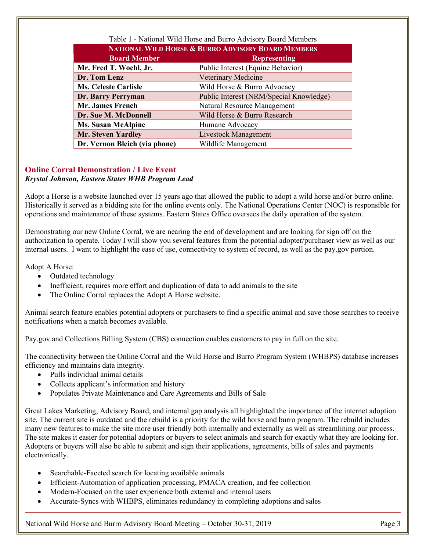| Table 1 - National Wild Horse and Burro Advisory Board Members |                                         |  |
|----------------------------------------------------------------|-----------------------------------------|--|
| <b>NATIONAL WILD HORSE &amp; BURRO ADVISORY BOARD MEMBERS</b>  |                                         |  |
| <b>Board Member</b>                                            | <b>Representing</b>                     |  |
| Mr. Fred T. Woehl, Jr.                                         | Public Interest (Equine Behavior)       |  |
| Dr. Tom Lenz                                                   | Veterinary Medicine                     |  |
| <b>Ms. Celeste Carlisle</b>                                    | Wild Horse & Burro Advocacy             |  |
| Dr. Barry Perryman                                             | Public Interest (NRM/Special Knowledge) |  |
| <b>Mr. James French</b>                                        | Natural Resource Management             |  |
| Dr. Sue M. McDonnell                                           | Wild Horse & Burro Research             |  |
| <b>Ms. Susan McAlpine</b>                                      | Humane Advocacy                         |  |
| <b>Mr. Steven Yardley</b>                                      | <b>Livestock Management</b>             |  |
| Dr. Vernon Bleich (via phone)                                  | Wildlife Management                     |  |

# <span id="page-24-0"></span>**Online Corral Demonstration / Live Event**

## *Krystal Johnson, Eastern States WHB Program Lead*

Adopt a Horse is a website launched over 15 years ago that allowed the public to adopt a wild horse and/or burro online. Historically it served as a bidding site for the online events only. The National Operations Center (NOC) is responsible for operations and maintenance of these systems. Eastern States Office oversees the daily operation of the system.

Demonstrating our new Online Corral, we are nearing the end of development and are looking for sign off on the authorization to operate. Today I will show you several features from the potential adopter/purchaser view as well as our internal users. I want to highlight the ease of use, connectivity to system of record, as well as the pay.gov portion.

Adopt A Horse:

- Outdated technology
- Inefficient, requires more effort and duplication of data to add animals to the site
- The Online Corral replaces the Adopt A Horse website.

Animal search feature enables potential adopters or purchasers to find a specific animal and save those searches to receive notifications when a match becomes available.

Pay.gov and Collections Billing System (CBS) connection enables customers to pay in full on the site.

The connectivity between the Online Corral and the Wild Horse and Burro Program System (WHBPS) database increases efficiency and maintains data integrity.

- Pulls individual animal details
- Collects applicant's information and history
- Populates Private Maintenance and Care Agreements and Bills of Sale

Great Lakes Marketing, Advisory Board, and internal gap analysis all highlighted the importance of the internet adoption site. The current site is outdated and the rebuild is a priority for the wild horse and burro program. The rebuild includes many new features to make the site more user friendly both internally and externally as well as streamlining our process. The site makes it easier for potential adopters or buyers to select animals and search for exactly what they are looking for. Adopters or buyers will also be able to submit and sign their applications, agreements, bills of sales and payments electronically.

- Searchable-Faceted search for locating available animals
- Efficient-Automation of application processing, PMACA creation, and fee collection
- Modern-Focused on the user experience both external and internal users
- Accurate-Syncs with WHBPS, eliminates redundancy in completing adoptions and sales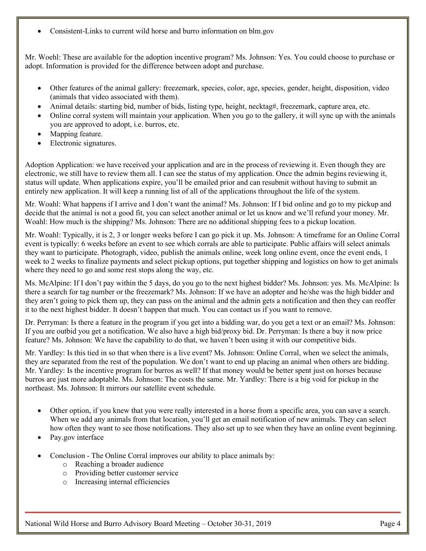• Consistent-Links to current wild horse and burro information on blm.gov

Mr. Woehl: These are available for the adoption incentive program? Ms. Johnson: Yes. You could choose to purchase or adopt. Information is provided for the difference between adopt and purchase.

- Other features of the animal gallery: freezemark, species, color, age, species, gender, height, disposition, video (animals that video associated with them).
- Animal details: starting bid, number of bids, listing type, height, necktag#, freezemark, capture area, etc.
- Online corral system will maintain your application. When you go to the gallery, it will sync up with the animals you are approved to adopt, i.e. burros, etc.
- Mapping feature.
- Electronic signatures.

Adoption Application: we have received your application and are in the process of reviewing it. Even though they are electronic, we still have to review them all. I can see the status of my application. Once the admin begins reviewing it, status will update. When applications expire, you'll be emailed prior and can resubmit without having to submit an entirely new application. It will keep a running list of all of the applications throughout the life of the system.

Mr. Woahl: What happens if I arrive and I don't want the animal? Ms. Johnson: If I bid online and go to my pickup and decide that the animal is not a good fit, you can select another animal or let us know and we'll refund your money. Mr. Woahl: How much is the shipping? Ms. Johnson: There are no additional shipping fees to a pickup location.

Mr. Woahl: Typically, it is 2, 3 or longer weeks before I can go pick it up. Ms. Johnson: A timeframe for an Online Corral event is typically: 6 weeks before an event to see which corrals are able to participate. Public affairs will select animals they want to participate. Photograph, video, publish the animals online, week long online event, once the event ends, 1 week to 2 weeks to finalize payments and select pickup options, put together shipping and logistics on how to get animals where they need to go and some rest stops along the way, etc.

Ms. McAlpine: If I don't pay within the 5 days, do you go to the next highest bidder? Ms. Johnson: yes. Ms. McAlpine: Is there a search for tag number or the freezemark? Ms. Johnson: If we have an adopter and he/she was the high bidder and they aren't going to pick them up, they can pass on the animal and the admin gets a notification and then they can reoffer it to the next highest bidder. It doesn't happen that much. You can contact us if you want to remove.

Dr. Perryman: Is there a feature in the program if you get into a bidding war, do you get a text or an email? Ms. Johnson: If you are outbid you get a notification. We also have a high bid/proxy bid. Dr. Perryman: Is there a buy it now price feature? Ms. Johnson: We have the capability to do that, we haven't been using it with our competitive bids.

Mr. Yardley: Is this tied in so that when there is a live event? Ms. Johnson: Online Corral, when we select the animals, they are separated from the rest of the population. We don't want to end up placing an animal when others are bidding. Mr. Yardley: Is the incentive program for burros as well? If that money would be better spent just on horses because burros are just more adoptable. Ms. Johnson: The costs the same. Mr. Yardley: There is a big void for pickup in the northeast. Ms. Johnson: It mirrors our satellite event schedule.

- Other option, if you knew that you were really interested in a horse from a specific area, you can save a search. When we add any animals from that location, you'll get an email notification of new animals. They can select how often they want to see those notifications. They also set up to see when they have an online event beginning.
- Pay.gov interface
- Conclusion The Online Corral improves our ability to place animals by:
	- o Reaching a broader audience
	- o Providing better customer service
	- o Increasing internal efficiencies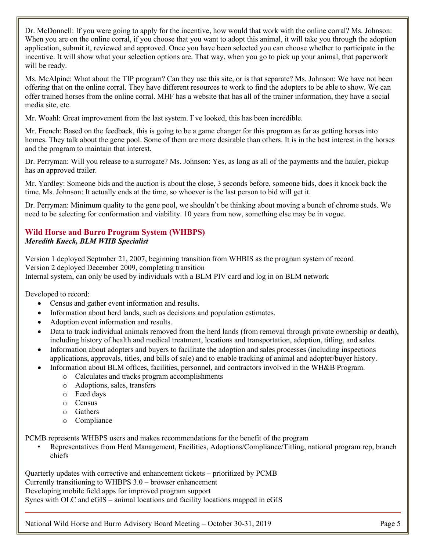Dr. McDonnell: If you were going to apply for the incentive, how would that work with the online corral? Ms. Johnson: When you are on the online corral, if you choose that you want to adopt this animal, it will take you through the adoption application, submit it, reviewed and approved. Once you have been selected you can choose whether to participate in the incentive. It will show what your selection options are. That way, when you go to pick up your animal, that paperwork will be ready.

Ms. McAlpine: What about the TIP program? Can they use this site, or is that separate? Ms. Johnson: We have not been offering that on the online corral. They have different resources to work to find the adopters to be able to show. We can offer trained horses from the online corral. MHF has a website that has all of the trainer information, they have a social media site, etc.

Mr. Woahl: Great improvement from the last system. I've looked, this has been incredible.

Mr. French: Based on the feedback, this is going to be a game changer for this program as far as getting horses into homes. They talk about the gene pool. Some of them are more desirable than others. It is in the best interest in the horses and the program to maintain that interest.

Dr. Perryman: Will you release to a surrogate? Ms. Johnson: Yes, as long as all of the payments and the hauler, pickup has an approved trailer.

Mr. Yardley: Someone bids and the auction is about the close, 3 seconds before, someone bids, does it knock back the time. Ms. Johnson: It actually ends at the time, so whoever is the last person to bid will get it.

Dr. Perryman: Minimum quality to the gene pool, we shouldn't be thinking about moving a bunch of chrome studs. We need to be selecting for conformation and viability. 10 years from now, something else may be in vogue.

# <span id="page-26-0"></span>**Wild Horse and Burro Program System (WHBPS)** *Meredith Kueck, BLM WHB Specialist*

Version 1 deployed Septmber 21, 2007, beginning transition from WHBIS as the program system of record Version 2 deployed December 2009, completing transition Internal system, can only be used by individuals with a BLM PIV card and log in on BLM network

Developed to record:

- Census and gather event information and results.
- Information about herd lands, such as decisions and population estimates.
- Adoption event information and results.
- Data to track individual animals removed from the herd lands (from removal through private ownership or death), including history of health and medical treatment, locations and transportation, adoption, titling, and sales.
- Information about adopters and buyers to facilitate the adoption and sales processes (including inspections applications, approvals, titles, and bills of sale) and to enable tracking of animal and adopter/buyer history.
- Information about BLM offices, facilities, personnel, and contractors involved in the WH&B Program.
	- o Calculates and tracks program accomplishments
		- o Adoptions, sales, transfers
		- o Feed days
		- o Census
		- o Gathers
		- o Compliance

PCMB represents WHBPS users and makes recommendations for the benefit of the program

• Representatives from Herd Management, Facilities, Adoptions/Compliance/Titling, national program rep, branch chiefs

Quarterly updates with corrective and enhancement tickets – prioritized by PCMB Currently transitioning to WHBPS 3.0 – browser enhancement Developing mobile field apps for improved program support Syncs with OLC and eGIS – animal locations and facility locations mapped in eGIS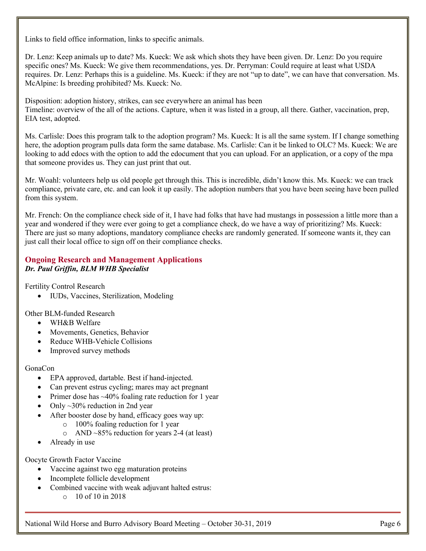Links to field office information, links to specific animals.

Dr. Lenz: Keep animals up to date? Ms. Kueck: We ask which shots they have been given. Dr. Lenz: Do you require specific ones? Ms. Kueck: We give them recommendations, yes. Dr. Perryman: Could require at least what USDA requires. Dr. Lenz: Perhaps this is a guideline. Ms. Kueck: if they are not "up to date", we can have that conversation. Ms. McAlpine: Is breeding prohibited? Ms. Kueck: No.

Disposition: adoption history, strikes, can see everywhere an animal has been Timeline: overview of the all of the actions. Capture, when it was listed in a group, all there. Gather, vaccination, prep, EIA test, adopted.

Ms. Carlisle: Does this program talk to the adoption program? Ms. Kueck: It is all the same system. If I change something here, the adoption program pulls data form the same database. Ms. Carlisle: Can it be linked to OLC? Ms. Kueck: We are looking to add edocs with the option to add the edocument that you can upload. For an application, or a copy of the mpa that someone provides us. They can just print that out.

Mr. Woahl: volunteers help us old people get through this. This is incredible, didn't know this. Ms. Kueck: we can track compliance, private care, etc. and can look it up easily. The adoption numbers that you have been seeing have been pulled from this system.

Mr. French: On the compliance check side of it, I have had folks that have had mustangs in possession a little more than a year and wondered if they were ever going to get a compliance check, do we have a way of prioritizing? Ms. Kueck: There are just so many adoptions, mandatory compliance checks are randomly generated. If someone wants it, they can just call their local office to sign off on their compliance checks.

## <span id="page-27-0"></span>**Ongoing Research and Management Applications** *Dr. Paul Griffin, BLM WHB Specialist*

Fertility Control Research

• IUDs, Vaccines, Sterilization, Modeling

Other BLM-funded Research

- WH&B Welfare
- Movements, Genetics, Behavior
- Reduce WHB-Vehicle Collisions
- Improved survey methods

#### GonaCon

- EPA approved, dartable. Best if hand-injected.
- Can prevent estrus cycling; mares may act pregnant
- Primer dose has ~40% foaling rate reduction for 1 year
- Only  $\sim$ 30% reduction in 2nd year
- After booster dose by hand, efficacy goes way up:
	- o 100% foaling reduction for 1 year
	- o AND ~85% reduction for years 2-4 (at least)
- Already in use

Oocyte Growth Factor Vaccine

- Vaccine against two egg maturation proteins
- Incomplete follicle development
- Combined vaccine with weak adjuvant halted estrus:
	- $\circ$  10 of 10 in 2018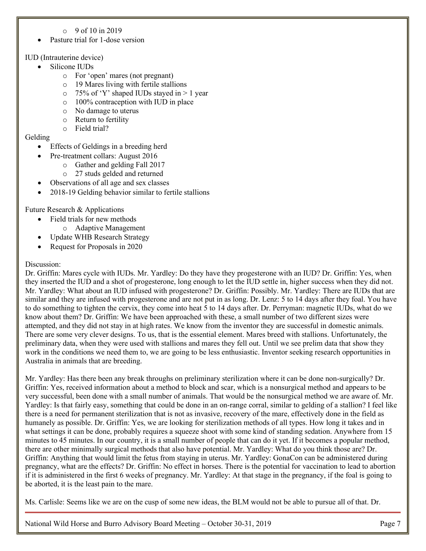- $\degree$  9 of 10 in 2019
- Pasture trial for 1-dose version

## IUD (Intrauterine device)

- Silicone IUDs
	- o For 'open' mares (not pregnant)
	- o 19 Mares living with fertile stallions
	- $\circ$  75% of 'Y' shaped IUDs stayed in > 1 year
	- o 100% contraception with IUD in place
	- o No damage to uterus
	- o Return to fertility
	- o Field trial?

## Gelding

- Effects of Geldings in a breeding herd
	- Pre-treatment collars: August 2016
		- o Gather and gelding Fall 2017
		- o 27 studs gelded and returned
- Observations of all age and sex classes
- 2018-19 Gelding behavior similar to fertile stallions

Future Research & Applications

- Field trials for new methods
	- o Adaptive Management
- Update WHB Research Strategy
- Request for Proposals in 2020

## Discussion:

Dr. Griffin: Mares cycle with IUDs. Mr. Yardley: Do they have they progesterone with an IUD? Dr. Griffin: Yes, when they inserted the IUD and a shot of progesterone, long enough to let the IUD settle in, higher success when they did not. Mr. Yardley: What about an IUD infused with progesterone? Dr. Griffin: Possibly. Mr. Yardley: There are IUDs that are similar and they are infused with progesterone and are not put in as long. Dr. Lenz: 5 to 14 days after they foal. You have to do something to tighten the cervix, they come into heat 5 to 14 days after. Dr. Perryman: magnetic IUDs, what do we know about them? Dr. Griffin: We have been approached with these, a small number of two different sizes were attempted, and they did not stay in at high rates. We know from the inventor they are successful in domestic animals. There are some very clever designs. To us, that is the essential element. Mares breed with stallions. Unfortunately, the preliminary data, when they were used with stallions and mares they fell out. Until we see prelim data that show they work in the conditions we need them to, we are going to be less enthusiastic. Inventor seeking research opportunities in Australia in animals that are breeding.

Mr. Yardley: Has there been any break throughs on preliminary sterilization where it can be done non-surgically? Dr. Griffin: Yes, received information about a method to block and scar, which is a nonsurgical method and appears to be very successful, been done with a small number of animals. That would be the nonsurgical method we are aware of. Mr. Yardley: Is that fairly easy, something that could be done in an on-range corral, similar to gelding of a stallion? I feel like there is a need for permanent sterilization that is not as invasive, recovery of the mare, effectively done in the field as humanely as possible. Dr. Griffin: Yes, we are looking for sterilization methods of all types. How long it takes and in what settings it can be done, probably requires a squeeze shoot with some kind of standing sedation. Anywhere from 15 minutes to 45 minutes. In our country, it is a small number of people that can do it yet. If it becomes a popular method, there are other minimally surgical methods that also have potential. Mr. Yardley: What do you think those are? Dr. Griffin: Anything that would limit the fetus from staying in uterus. Mr. Yardley: GonaCon can be administered during pregnancy, what are the effects? Dr. Griffin: No effect in horses. There is the potential for vaccination to lead to abortion if it is administered in the first 6 weeks of pregnancy. Mr. Yardley: At that stage in the pregnancy, if the foal is going to be aborted, it is the least pain to the mare.

Ms. Carlisle: Seems like we are on the cusp of some new ideas, the BLM would not be able to pursue all of that. Dr.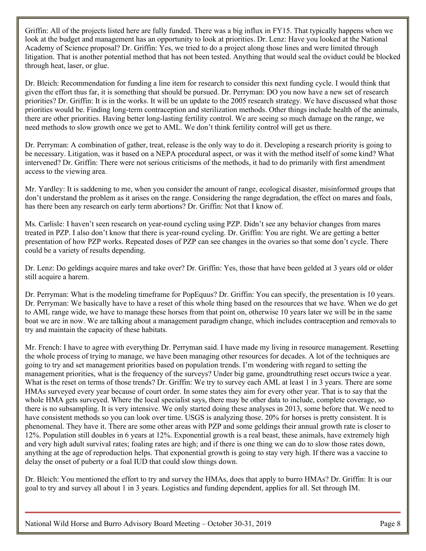Griffin: All of the projects listed here are fully funded. There was a big influx in FY15. That typically happens when we look at the budget and management has an opportunity to look at priorities. Dr. Lenz: Have you looked at the National Academy of Science proposal? Dr. Griffin: Yes, we tried to do a project along those lines and were limited through litigation. That is another potential method that has not been tested. Anything that would seal the oviduct could be blocked through heat, laser, or glue.

Dr. Bleich: Recommendation for funding a line item for research to consider this next funding cycle. I would think that given the effort thus far, it is something that should be pursued. Dr. Perryman: DO you now have a new set of research priorities? Dr. Griffin: It is in the works. It will be un update to the 2005 research strategy. We have discussed what those priorities would be. Finding long-term contraception and sterilization methods. Other things include health of the animals, there are other priorities. Having better long-lasting fertility control. We are seeing so much damage on the range, we need methods to slow growth once we get to AML. We don't think fertility control will get us there.

Dr. Perryman: A combination of gather, treat, release is the only way to do it. Developing a research priority is going to be necessary. Litigation, was it based on a NEPA procedural aspect, or was it with the method itself of some kind? What intervened? Dr. Griffin: There were not serious criticisms of the methods, it had to do primarily with first amendment access to the viewing area.

Mr. Yardley: It is saddening to me, when you consider the amount of range, ecological disaster, misinformed groups that don't understand the problem as it arises on the range. Considering the range degradation, the effect on mares and foals, has there been any research on early term abortions? Dr. Griffin: Not that I know of.

Ms. Carlisle: I haven't seen research on year-round cycling using PZP. Didn't see any behavior changes from mares treated in PZP. I also don't know that there is year-round cycling. Dr. Griffin: You are right. We are getting a better presentation of how PZP works. Repeated doses of PZP can see changes in the ovaries so that some don't cycle. There could be a variety of results depending.

Dr. Lenz: Do geldings acquire mares and take over? Dr. Griffin: Yes, those that have been gelded at 3 years old or older still acquire a harem.

Dr. Perryman: What is the modeling timeframe for PopEquus? Dr. Griffin: You can specify, the presentation is 10 years. Dr. Perryman: We basically have to have a reset of this whole thing based on the resources that we have. When we do get to AML range wide, we have to manage these horses from that point on, otherwise 10 years later we will be in the same boat we are in now. We are talking about a management paradigm change, which includes contraception and removals to try and maintain the capacity of these habitats.

Mr. French: I have to agree with everything Dr. Perryman said. I have made my living in resource management. Resetting the whole process of trying to manage, we have been managing other resources for decades. A lot of the techniques are going to try and set management priorities based on population trends. I'm wondering with regard to setting the management priorities, what is the frequency of the surveys? Under big game, groundtruthing reset occurs twice a year. What is the reset on terms of those trends? Dr. Griffin: We try to survey each AML at least 1 in 3 years. There are some HMAs surveyed every year because of court order. In some states they aim for every other year. That is to say that the whole HMA gets surveyed. Where the local specialist says, there may be other data to include, complete coverage, so there is no subsampling. It is very intensive. We only started doing these analyses in 2013, some before that. We need to have consistent methods so you can look over time. USGS is analyzing those. 20% for horses is pretty consistent. It is phenomenal. They have it. There are some other areas with PZP and some geldings their annual growth rate is closer to 12%. Population still doubles in 6 years at 12%. Exponential growth is a real beast, these animals, have extremely high and very high adult survival rates; foaling rates are high; and if there is one thing we can do to slow those rates down, anything at the age of reproduction helps. That exponential growth is going to stay very high. If there was a vaccine to delay the onset of puberty or a foal IUD that could slow things down.

Dr. Bleich: You mentioned the effort to try and survey the HMAs, does that apply to burro HMAs? Dr. Griffin: It is our goal to try and survey all about 1 in 3 years. Logistics and funding dependent, applies for all. Set through IM.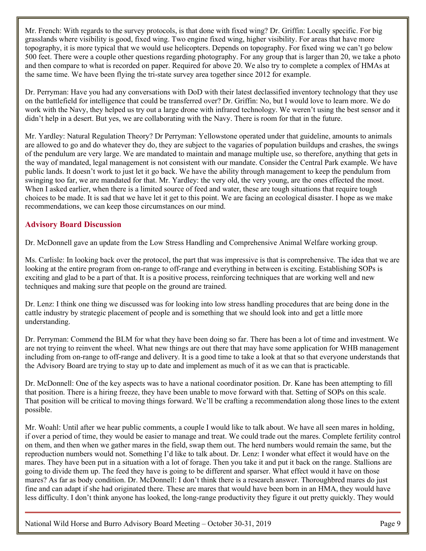Mr. French: With regards to the survey protocols, is that done with fixed wing? Dr. Griffin: Locally specific. For big grasslands where visibility is good, fixed wing. Two engine fixed wing, higher visibility. For areas that have more topography, it is more typical that we would use helicopters. Depends on topography. For fixed wing we can't go below 500 feet. There were a couple other questions regarding photography. For any group that is larger than 20, we take a photo and then compare to what is recorded on paper. Required for above 20. We also try to complete a complex of HMAs at the same time. We have been flying the tri-state survey area together since 2012 for example.

Dr. Perryman: Have you had any conversations with DoD with their latest declassified inventory technology that they use on the battlefield for intelligence that could be transferred over? Dr. Griffin: No, but I would love to learn more. We do work with the Navy, they helped us try out a large drone with infrared technology. We weren't using the best sensor and it didn't help in a desert. But yes, we are collaborating with the Navy. There is room for that in the future.

Mr. Yardley: Natural Regulation Theory? Dr Perryman: Yellowstone operated under that guideline, amounts to animals are allowed to go and do whatever they do, they are subject to the vagaries of population buildups and crashes, the swings of the pendulum are very large. We are mandated to maintain and manage multiple use, so therefore, anything that gets in the way of mandated, legal management is not consistent with our mandate. Consider the Central Park example. We have public lands. It doesn't work to just let it go back. We have the ability through management to keep the pendulum from swinging too far, we are mandated for that. Mr. Yardley: the very old, the very young, are the ones effected the most. When I asked earlier, when there is a limited source of feed and water, these are tough situations that require tough choices to be made. It is sad that we have let it get to this point. We are facing an ecological disaster. I hope as we make recommendations, we can keep those circumstances on our mind.

# <span id="page-30-0"></span>**Advisory Board Discussion**

Dr. McDonnell gave an update from the Low Stress Handling and Comprehensive Animal Welfare working group.

Ms. Carlisle: In looking back over the protocol, the part that was impressive is that is comprehensive. The idea that we are looking at the entire program from on-range to off-range and everything in between is exciting. Establishing SOPs is exciting and glad to be a part of that. It is a positive process, reinforcing techniques that are working well and new techniques and making sure that people on the ground are trained.

Dr. Lenz: I think one thing we discussed was for looking into low stress handling procedures that are being done in the cattle industry by strategic placement of people and is something that we should look into and get a little more understanding.

Dr. Perryman: Commend the BLM for what they have been doing so far. There has been a lot of time and investment. We are not trying to reinvent the wheel. What new things are out there that may have some application for WHB management including from on-range to off-range and delivery. It is a good time to take a look at that so that everyone understands that the Advisory Board are trying to stay up to date and implement as much of it as we can that is practicable.

Dr. McDonnell: One of the key aspects was to have a national coordinator position. Dr. Kane has been attempting to fill that position. There is a hiring freeze, they have been unable to move forward with that. Setting of SOPs on this scale. That position will be critical to moving things forward. We'll be crafting a recommendation along those lines to the extent possible.

Mr. Woahl: Until after we hear public comments, a couple I would like to talk about. We have all seen mares in holding, if over a period of time, they would be easier to manage and treat. We could trade out the mares. Complete fertility control on them, and then when we gather mares in the field, swap them out. The herd numbers would remain the same, but the reproduction numbers would not. Something I'd like to talk about. Dr. Lenz: I wonder what effect it would have on the mares. They have been put in a situation with a lot of forage. Then you take it and put it back on the range. Stallions are going to divide them up. The feed they have is going to be different and sparser. What effect would it have on those mares? As far as body condition. Dr. McDonnell: I don't think there is a research answer. Thoroughbred mares do just fine and can adapt if she had originated there. These are mares that would have been born in an HMA, they would have less difficulty. I don't think anyone has looked, the long-range productivity they figure it out pretty quickly. They would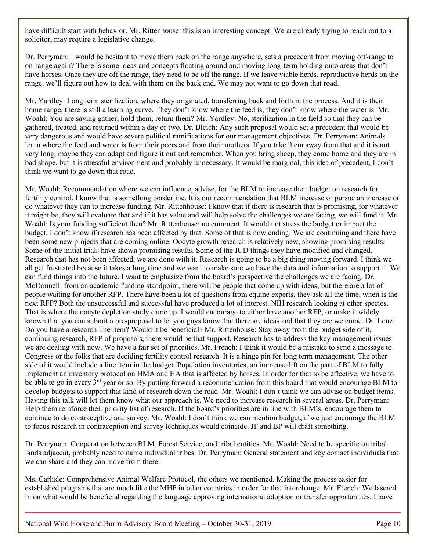have difficult start with behavior. Mr. Rittenhouse: this is an interesting concept. We are already trying to reach out to a solicitor, may require a legislative change.

Dr. Perryman: I would be hesitant to move them back on the range anywhere, sets a precedent from moving off-range to on-range again? There is some ideas and concepts floating around and moving long-term holding onto areas that don't have horses. Once they are off the range, they need to be off the range. If we leave viable herds, reproductive herds on the range, we'll figure out how to deal with them on the back end. We may not want to go down that road.

Mr. Yardley: Long term sterilization, where they originated, transferring back and forth in the process. And it is their home range, there is still a learning curve. They don't know where the feed is, they don't know where the water is. Mr. Woahl: You are saying gather, hold them, return them? Mr. Yardley: No, sterilization in the field so that they can be gathered, treated, and returned within a day or two. Dr. Bleich: Any such proposal would set a precedent that would be very dangerous and would have severe political ramifications for our management objectives. Dr. Perryman: Animals learn where the feed and water is from their peers and from their mothers. If you take them away from that and it is not very long, maybe they can adapt and figure it out and remember. When you bring sheep, they come home and they are in bad shape, but it is stressful environment and probably unnecessary. It would be marginal, this idea of precedent, I don't think we want to go down that road.

Mr. Woahl: Recommendation where we can influence, advise, for the BLM to increase their budget on research for fertility control. I know that is something borderline. It is our recommendation that BLM increase or pursue an increase or do whatever they can to increase funding. Mr. Rittenhouse: I know that if there is research that is promising, for whatever it might be, they will evaluate that and if it has value and will help solve the challenges we are facing, we will fund it. Mr. Woahl: Is your funding sufficient then? Mr. Rittenhouse: no comment. It would not stress the budget or impact the budget. I don't know if research has been affected by that. Some of that is now ending. We are continuing and there have been some new projects that are coming online. Oocyte growth research is relatively new, showing promising results. Some of the initial trials have shown promising results. Some of the IUD things they have modified and changed. Research that has not been affected, we are done with it. Research is going to be a big thing moving forward. I think we all get frustrated because it takes a long time and we want to make sure we have the data and information to support it. We can fund things into the future. I want to emphasize from the board's perspective the challenges we are facing. Dr. McDonnell: from an academic funding standpoint, there will be people that come up with ideas, but there are a lot of people waiting for another RFP. There have been a lot of questions from equine experts, they ask all the time, when is the next RFP? Both the unsuccessful and successful have produced a lot of interest. NIH research looking at other species. That is where the oocyte depletion study came up. I would encourage to either have another RFP, or make it widely known that you can submit a pre-proposal to let you guys know that there are ideas and that they are welcome. Dr. Lenz: Do you have a research line item? Would it be beneficial? Mr. Rittenhouse: Stay away from the budget side of it, continuing research, RFP of proposals, there would be that support. Research has to address the key management issues we are dealing with now. We have a fair set of priorities. Mr. French: I think it would be a mistake to send a message to Congress or the folks that are deciding fertility control research. It is a hinge pin for long term management. The other side of it would include a line item in the budget. Population inventories, an immense lift on the part of BLM to fully implement an inventory protocol on HMA and HA that is affected by horses. In order for that to be effective, we have to be able to go in every 3<sup>rd</sup> year or so. By putting forward a recommendation from this board that would encourage BLM to develop budgets to support that kind of research down the road. Mr. Woahl: I don't think we can advise on budget items. Having this talk will let them know what our approach is. We need to increase research in several areas. Dr. Perryman: Help them reinforce their priority list of research. If the board's priorities are in line with BLM's, encourage them to continue to do contraceptive and survey. Mr. Woahl: I don't think we can mention budget, if we just encourage the BLM to focus research in contraception and survey techniques would coincide. JF and BP will draft something.

Dr. Perryman: Cooperation between BLM, Forest Service, and tribal entities. Mr. Woahl: Need to be specific on tribal lands adjacent, probably need to name individual tribes. Dr. Perryman: General statement and key contact individuals that we can share and they can move from there.

Ms. Carlisle: Comprehensive Animal Welfare Protocol, the others we mentioned. Making the process easier for established programs that are much like the MHF in other countries in order for that interchange. Mr. French: We lasered in on what would be beneficial regarding the language approving international adoption or transfer opportunities. I have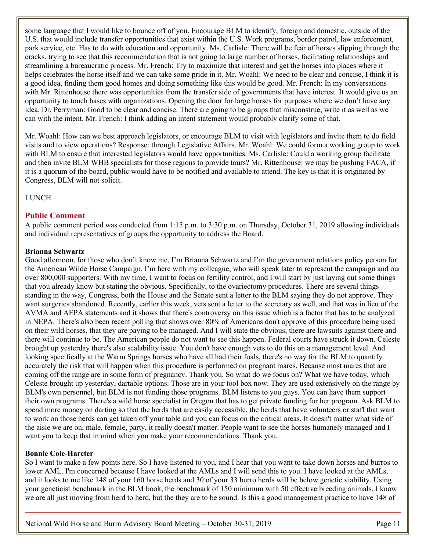some language that I would like to bounce off of you. Encourage BLM to identify, foreign and domestic, outside of the U.S. that would include transfer opportunities that exist within the U.S. Work programs, border patrol, law enforcement, park service, etc. Has to do with education and opportunity. Ms. Carlisle: There will be fear of horses slipping through the cracks, trying to see that this recommendation that is not going to large number of horses, facilitating relationships and streamlining a bureaucratic process. Mr. French: Try to maximize that interest and get the horses into places where it helps celebrates the horse itself and we can take some pride in it. Mr. Woahl: We need to be clear and concise, I think it is a good idea, finding them good homes and doing something like this would be good. Mr. French: In my conversations with Mr. Rittenhouse there was opportunities from the transfer side of governments that have interest. It would give us an opportunity to touch bases with organizations. Opening the door for large horses for purposes where we don't have any idea. Dr. Perryman: Good to be clear and concise. There are going to be groups that misconstrue, write it as well as we can with the intent. Mr. French: I think adding an intent statement would probably clarify some of that.

Mr. Woahl: How can we best approach legislators, or encourage BLM to visit with legislators and invite them to do field visits and to view operations? Response: through Legislative Affairs. Mr. Woahl: We could form a working group to work with BLM to ensure that interested legislators would have opportunities. Ms. Carlisle: Could a working group facilitate and then invite BLM WHB specialists for those regions to provide tours? Mr. Rittenhouse: we may be pushing FACA, if it is a quorum of the board, public would have to be notified and available to attend. The key is that it is originated by Congress, BLM will not solicit.

LUNCH

#### <span id="page-32-0"></span>**Public Comment**

A public comment period was conducted from 1:15 p.m. to 3:30 p.m. on Thursday, October 31, 2019 allowing individuals and individual representatives of groups the opportunity to address the Board.

#### **Brianna Schwartz**

Good afternoon, for those who don't know me, I'm Brianna Schwartz and I'm the government relations policy person for the American Wilde Horse Campaign. I'm here with my colleague, who will speak later to represent the campaign and our over 800,000 supporters. With my time, I want to focus on fertility control, and I will start by just laying out some things that you already know but stating the obvious. Specifically, to the ovariectomy procedures. There are several things standing in the way, Congress, both the House and the Senate sent a letter to the BLM saying they do not approve. They want surgeries abandoned. Recently, earlier this week, vets sent a letter to the secretary as well, and that was in lieu of the AVMA and AEPA statements and it shows that there's controversy on this issue which is a factor that has to be analyzed in NEPA. There's also been recent polling that shows over 80% of Americans don't approve of this procedure being used on their wild horses, that they are paying to be managed. And I will state the obvious, there are lawsuits against there and there will continue to be. The American people do not want to see this happen. Federal courts have struck it down. Celeste brought up yesterday there's also scalability issue. You don't have enough vets to do this on a management level. And looking specifically at the Warm Springs horses who have all had their foals, there's no way for the BLM to quantify accurately the risk that will happen when this procedure is performed on pregnant mares. Because most mares that are coming off the range are in some form of pregnancy. Thank you. So what do we focus on? What we have today, which Celeste brought up yesterday, dartable options. Those are in your tool box now. They are used extensively on the range by BLM's own personnel, but BLM is not funding those programs. BLM listens to you guys. You can have them support their own programs. There's a wild horse specialist in Oregon that has to get private funding for her program. Ask BLM to spend more money on darting so that the herds that are easily accessible, the herds that have volunteers or staff that want to work on those herds can get taken off your table and you can focus on the critical areas. It doesn't matter what side of the aisle we are on, male, female, party, it really doesn't matter. People want to see the horses humanely managed and I want you to keep that in mind when you make your recommendations. Thank you.

#### **Bonnie Cole-Harcter**

So I want to make a few points here. So I have listened to you, and I hear that you want to take down horses and burros to lower AML. I'm concerned because I have looked at the AMLs and I will send this to you. I have looked at the AMLs, and it looks to me like 148 of your 160 horse herds and 30 of your 33 burro herds will be below genetic viability. Using your geneticist benchmark in the BLM book, the benchmark of 150 minimum with 50 effective breeding animals. I know we are all just moving from herd to herd, but the they are to be sound. Is this a good management practice to have 148 of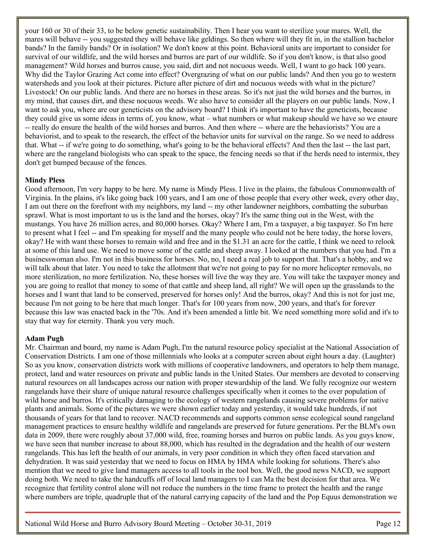your 160 or 30 of their 33, to be below genetic sustainability. Then I hear you want to sterilize your mares. Well, the mares will behave -- you suggested they will behave like geldings. So then where will they fit in, in the stallion bachelor bands? In the family bands? Or in isolation? We don't know at this point. Behavioral units are important to consider for survival of our wildlife, and the wild horses and burros are part of our wildlife. So if you don't know, is that also good management? Wild horses and burros cause, you said, dirt and not nocuous weeds. Well, I want to go back 100 years. Why did the Taylor Grazing Act come into effect? Overgrazing of what on our public lands? And then you go to western watersheds and you look at their pictures. Picture after picture of dirt and nocuous weeds with what in the picture? Livestock! On our public lands. And there are no horses in these areas. So it's not just the wild horses and the burros, in my mind, that causes dirt, and these nocuous weeds. We also have to consider all the players on our public lands. Now, I want to ask you, where are our geneticists on the advisory board? I think it's important to have the geneticists, because they could give us some ideas in terms of, you know, what – what numbers or what makeup should we have so we ensure -- really do ensure the health of the wild horses and burros. And then where -- where are the behaviorists? You are a behaviorist, and to speak to the research, the effect of the behavior units for survival on the range. So we need to address that. What -- if we're going to do something, what's going to be the behavioral effects? And then the last -- the last part, where are the rangeland biologists who can speak to the space, the fencing needs so that if the herds need to intermix, they don't get bumped because of the fences.

## **Mindy Pless**

Good afternoon, I'm very happy to be here. My name is Mindy Pless. I live in the plains, the fabulous Commonwealth of Virginia. In the plains, it's like going back 100 years, and I am one of those people that every other week, every other day, I am out there on the forefront with my neighbors, my land -- my other landowner neighbors, combatting the suburban sprawl. What is most important to us is the land and the horses, okay? It's the same thing out in the West, with the mustangs. You have 26 million acres, and 80,000 horses. Okay? Where I am, I'm a taxpayer, a big taxpayer. So I'm here to present what I feel -- and I'm speaking for myself and the many people who could not be here today, the horse lovers, okay? He with want these horses to remain wild and free and in the \$1.31 an acre for the cattle, I think we need to relook at some of this land use. We need to move some of the cattle and sheep away. I looked at the numbers that you had. I'm a businesswoman also. I'm not in this business for horses. No, no, I need a real job to support that. That's a hobby, and we will talk about that later. You need to take the allotment that we're not going to pay for no more helicopter removals, no more sterilization, no more fertilization. No, these horses will live the way they are. You will take the taxpayer money and you are going to reallot that money to some of that cattle and sheep land, all right? We will open up the grasslands to the horses and I want that land to be conserved, preserved for horses only! And the burros, okay? And this is not for just me, because I'm not going to be here that much longer. That's for 100 years from now, 200 years, and that's for forever because this law was enacted back in the '70s. And it's been amended a little bit. We need something more solid and it's to stay that way for eternity. Thank you very much.

#### **Adam Pugh**

Mr. Chairman and board, my name is Adam Pugh, I'm the natural resource policy specialist at the National Association of Conservation Districts. I am one of those millennials who looks at a computer screen about eight hours a day. (Laughter) So as you know, conservation districts work with millions of cooperative landowners, and operators to help them manage, protect, land and water resources on private and public lands in the United States. Our members are devoted to conserving natural resources on all landscapes across our nation with proper stewardship of the land. We fully recognize our western rangelands have their share of unique natural resource challenges specifically when it comes to the over population of wild horse and burros. It's critically damaging to the ecology of western rangelands causing severe problems for native plants and animals. Some of the pictures we were shown earlier today and yesterday, it would take hundreds, if not thousands of years for that land to recover. NACD recommends and supports common sense ecological sound rangeland management practices to ensure healthy wildlife and rangelands are preserved for future generations. Per the BLM's own data in 2009, there were roughly about 37,000 wild, free, roaming horses and burros on public lands. As you guys know, we have seen that number increase to about 88,000, which has resulted in the degradation and the health of our western rangelands. This has left the health of our animals, in very poor condition in which they often faced starvation and dehydration. It was said yesterday that we need to focus on HMA by HMA while looking for solutions. There's also mention that we need to give land managers access to all tools in the tool box. Well, the good news NACD, we support doing both. We need to take the handcuffs off of local land managers to I can Ma the best decision for that area. We recognize that fertility control alone will not reduce the numbers in the time frame to protect the health and the range where numbers are triple, quadruple that of the natural carrying capacity of the land and the Pop Equus demonstration we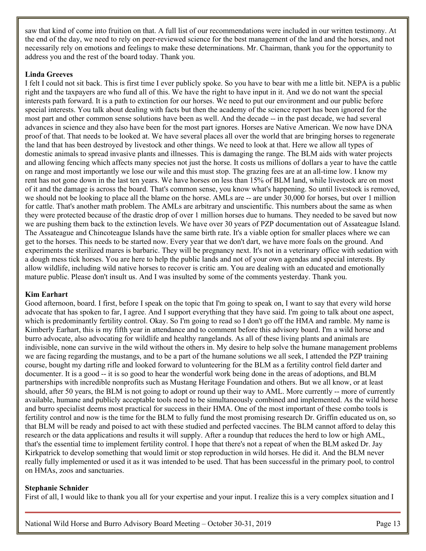saw that kind of come into fruition on that. A full list of our recommendations were included in our written testimony. At the end of the day, we need to rely on peer-reviewed science for the best management of the land and the horses, and not necessarily rely on emotions and feelings to make these determinations. Mr. Chairman, thank you for the opportunity to address you and the rest of the board today. Thank you.

## **Linda Greeves**

I felt I could not sit back. This is first time I ever publicly spoke. So you have to bear with me a little bit. NEPA is a public right and the taxpayers are who fund all of this. We have the right to have input in it. And we do not want the special interests path forward. It is a path to extinction for our horses. We need to put our environment and our public before special interests. You talk about dealing with facts but then the academy of the science report has been ignored for the most part and other common sense solutions have been as well. And the decade -- in the past decade, we had several advances in science and they also have been for the most part ignores. Horses are Native American. We now have DNA proof of that. That needs to be looked at. We have several places all over the world that are bringing horses to regenerate the land that has been destroyed by livestock and other things. We need to look at that. Here we allow all types of domestic animals to spread invasive plants and illnesses. This is damaging the range. The BLM aids with water projects and allowing fencing which affects many species not just the horse. It costs us millions of dollars a year to have the cattle on range and most importantly we lose our wile and this must stop. The grazing fees are at an all-time low. I know my rent has not gone down in the last ten years. We have horses on less than 15% of BLM land, while livestock are on most of it and the damage is across the board. That's common sense, you know what's happening. So until livestock is removed, we should not be looking to place all the blame on the horse. AMLs are -- are under 30,000 for horses, but over 1 million for cattle. That's another math problem. The AMLs are arbitrary and unscientific. This numbers about the same as when they were protected because of the drastic drop of over 1 million horses due to humans. They needed to be saved but now we are pushing them back to the extinction levels. We have over 30 years of PZP documentation out of Assateague Island. The Assateague and Chincoteague Islands have the same birth rate. It's a viable option for smaller places where we can get to the horses. This needs to be started now. Every year that we don't dart, we have more foals on the ground. And experiments the sterilized mares is barbaric. They will be pregnancy next. It's not in a veterinary office with sedation with a dough mess tick horses. You are here to help the public lands and not of your own agendas and special interests. By allow wildlife, including wild native horses to recover is critic am. You are dealing with an educated and emotionally mature public. Please don't insult us. And I was insulted by some of the comments yesterday. Thank you.

#### **Kim Earhart**

Good afternoon, board. I first, before I speak on the topic that I'm going to speak on, I want to say that every wild horse advocate that has spoken to far, I agree. And I support everything that they have said. I'm going to talk about one aspect, which is predominantly fertility control. Okay. So I'm going to read so I don't go off the HMA and ramble. My name is Kimberly Earhart, this is my fifth year in attendance and to comment before this advisory board. I'm a wild horse and burro advocate, also advocating for wildlife and healthy rangelands. As all of these living plants and animals are indivisible, none can survive in the wild without the others in. My desire to help solve the humane management problems we are facing regarding the mustangs, and to be a part of the humane solutions we all seek, I attended the PZP training course, bought my darting rifle and looked forward to volunteering for the BLM as a fertility control field darter and documenter. It is a good -- it is so good to hear the wonderful work being done in the areas of adoptions, and BLM partnerships with incredible nonprofits such as Mustang Heritage Foundation and others. But we all know, or at least should, after 50 years, the BLM is not going to adopt or round up their way to AML. More currently -- more of currently available, humane and publicly acceptable tools need to be simultaneously combined and implemented. As the wild horse and burro specialist deems most practical for success in their HMA. One of the most important of these combo tools is fertility control and now is the time for the BLM to fully fund the most promising research Dr. Griffin educated us on, so that BLM will be ready and poised to act with these studied and perfected vaccines. The BLM cannot afford to delay this research or the data applications and results it will supply. After a roundup that reduces the herd to low or high AML, that's the essential time to implement fertility control. I hope that there's not a repeat of when the BLM asked Dr. Jay Kirkpatrick to develop something that would limit or stop reproduction in wild horses. He did it. And the BLM never really fully implemented or used it as it was intended to be used. That has been successful in the primary pool, to control on HMAs, zoos and sanctuaries.

#### **Stephanie Schnider**

First of all, I would like to thank you all for your expertise and your input. I realize this is a very complex situation and I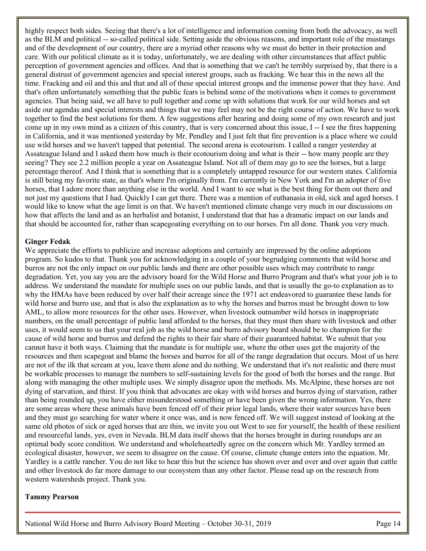highly respect both sides. Seeing that there's a lot of intelligence and information coming from both the advocacy, as well as the BLM and political -- so-called political side. Setting aside the obvious reasons, and important role of the mustangs and of the development of our country, there are a myriad other reasons why we must do better in their protection and care. With our political climate as it is today, unfortunately, we are dealing with other circumstances that affect public perception of government agencies and offices. And that is something that we can't be terribly surprised by, that there is a general distrust of government agencies and special interest groups, such as fracking. We hear this in the news all the time. Fracking and oil and this and that and all of these special interest groups and the immense power that they have. And that's often unfortunately something that the public fears is behind some of the motivations when it comes to government agencies. That being said, we all have to pull together and come up with solutions that work for our wild horses and set aside our agendas and special interests and things that we may feel may not be the right course of action. We have to work together to find the best solutions for them. A few suggestions after hearing and doing some of my own research and just come up in my own mind as a citizen of this country, that is very concerned about this issue, I -- I see the fires happening in California, and it was mentioned yesterday by Mr. Pendley and I just felt that fire prevention is a place where we could use wild horses and we haven't tapped that potential. The second arena is ecotourism. I called a ranger yesterday at Assateague Island and I asked them how much is their ecotourism doing and what is their -- how many people are they seeing? They see 2.2 million people a year on Assateague Island. Not all of them may go to see the horses, but a large percentage thereof. And I think that is something that is a completely untapped resource for our western states. California is still being my favorite state, as that's where I'm originally from. I'm currently in New York and I'm an adopter of five horses, that I adore more than anything else in the world. And I want to see what is the best thing for them out there and not just my questions that I had. Quickly I can get there. There was a mention of euthanasia in old, sick and aged horses. I would like to know what the age limit is on that. We haven't mentioned climate change very much in our discussions on how that affects the land and as an herbalist and botanist, I understand that that has a dramatic impact on our lands and that should be accounted for, rather than scapegoating everything on to our horses. I'm all done. Thank you very much.

#### **Ginger Fedak**

We appreciate the efforts to publicize and increase adoptions and certainly are impressed by the online adoptions program. So kudos to that. Thank you for acknowledging in a couple of your begrudging comments that wild horse and burros are not the only impact on our public lands and there are other possible uses which may contribute to range degradation. Yet, you say you are the advisory board for the Wild Horse and Burro Program and that's what your job is to address. We understand the mandate for multiple uses on our public lands, and that is usually the go-to explanation as to why the HMAs have been reduced by over half their acreage since the 1971 act endeavored to guarantee these lands for wild horse and burro use, and that is also the explanation as to why the horses and burros must be brought down to low AML, to allow more resources for the other uses. However, when livestock outnumber wild horses in inappropriate numbers, on the small percentage of public land afforded to the horses, that they must then share with livestock and other uses, it would seem to us that your real job as the wild horse and burro advisory board should be to champion for the cause of wild horse and burros and defend the rights to their fair share of their guaranteed habitat. We submit that you cannot have it both ways. Claiming that the mandate is for multiple use, where the other uses get the majority of the resources and then scapegoat and blame the horses and burros for all of the range degradation that occurs. Most of us here are not of the ilk that scream at you, leave them alone and do nothing. We understand that it's not realistic and there must be workable processes to manage the numbers to self-sustaining levels for the good of both the horses and the range. But along with managing the other multiple uses. We simply disagree upon the methods. Ms. McAlpine, these horses are not dying of starvation, and thirst. If you think that advocates are okay with wild horses and burros dying of starvation, rather than being rounded up, you have either misunderstood something or have been given the wrong information. Yes, there are some areas where these animals have been fenced off of their prior legal lands, where their water sources have been and they must go searching for water where it once was, and is now fenced off. We will suggest instead of looking at the same old photos of sick or aged horses that are thin, we invite you out West to see for yourself, the health of these resilient and resourceful lands, yes, even in Nevada. BLM data itself shows that the horses brought in during roundups are an optimal body score condition. We understand and wholeheartedly agree on the concern which Mr. Yardley termed an ecological disaster, however, we seem to disagree on the cause. Of course, climate change enters into the equation. Mr. Yardley is a cattle rancher. You do not like to hear this but the science has shown over and over and over again that cattle and other livestock do far more damage to our ecosystem than any other factor. Please read up on the research from western watersheds project. Thank you.

#### **Tammy Pearson**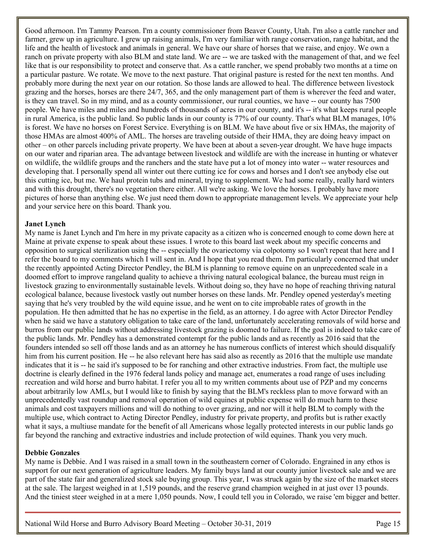Good afternoon. I'm Tammy Pearson. I'm a county commissioner from Beaver County, Utah. I'm also a cattle rancher and farmer, grew up in agriculture. I grew up raising animals, I'm very familiar with range conservation, range habitat, and the life and the health of livestock and animals in general. We have our share of horses that we raise, and enjoy. We own a ranch on private property with also BLM and state land. We are -- we are tasked with the management of that, and we feel like that is our responsibility to protect and conserve that. As a cattle rancher, we spend probably two months at a time on a particular pasture. We rotate. We move to the next pasture. That original pasture is rested for the next ten months. And probably more during the next year on our rotation. So those lands are allowed to heal. The difference between livestock grazing and the horses, horses are there 24/7, 365, and the only management part of them is wherever the feed and water, is they can travel. So in my mind, and as a county commissioner, our rural counties, we have -- our county has 7500 people. We have miles and miles and hundreds of thousands of acres in our county, and it's -- it's what keeps rural people in rural America, is the public land. So public lands in our county is 77% of our county. That's what BLM manages, 10% is forest. We have no horses on Forest Service. Everything is on BLM. We have about five or six HMAs, the majority of those HMAs are almost 400% of AML. The horses are traveling outside of their HMA, they are doing heavy impact on other – on other parcels including private property. We have been at about a seven-year drought. We have huge impacts on our water and riparian area. The advantage between livestock and wildlife are with the increase in hunting or whatever on wildlife, the wildlife groups and the ranchers and the state have put a lot of money into water -- water resources and developing that. I personally spend all winter out there cutting ice for cows and horses and I don't see anybody else out this cutting ice, but me. We haul protein tubs and mineral, trying to supplement. We had some really, really hard winters and with this drought, there's no vegetation there either. All we're asking. We love the horses. I probably have more pictures of horse than anything else. We just need them down to appropriate management levels. We appreciate your help and your service here on this board. Thank you.

#### **Janet Lynch**

My name is Janet Lynch and I'm here in my private capacity as a citizen who is concerned enough to come down here at Maine at private expense to speak about these issues. I wrote to this board last week about my specific concerns and opposition to surgical sterilization using the -- especially the ovariectomy via colpotomy so I won't repeat that here and I refer the board to my comments which I will sent in. And I hope that you read them. I'm particularly concerned that under the recently appointed Acting Director Pendley, the BLM is planning to remove equine on an unprecedented scale in a doomed effort to improve rangeland quality to achieve a thriving natural ecological balance, the bureau must reign in livestock grazing to environmentally sustainable levels. Without doing so, they have no hope of reaching thriving natural ecological balance, because livestock vastly out number horses on these lands. Mr. Pendley opened yesterday's meeting saying that he's very troubled by the wild equine issue, and he went on to cite improbable rates of growth in the population. He then admitted that he has no expertise in the field, as an attorney. I do agree with Actor Director Pendley when he said we have a statutory obligation to take care of the land, unfortunately accelerating removals of wild horse and burros from our public lands without addressing livestock grazing is doomed to failure. If the goal is indeed to take care of the public lands. Mr. Pendley has a demonstrated contempt for the public lands and as recently as 2016 said that the founders intended so sell off those lands and as an attorney he has numerous conflicts of interest which should disqualify him from his current position. He -- he also relevant here has said also as recently as 2016 that the multiple use mandate indicates that it is -- he said it's supposed to be for ranching and other extractive industries. From fact, the multiple use doctrine is clearly defined in the 1976 federal lands policy and manage act, enumerates a road range of uses including recreation and wild horse and burro habitat. I refer you all to my written comments about use of PZP and my concerns about arbitrarily low AMLs, but I would like to finish by saying that the BLM's reckless plan to move forward with an unprecedentedly vast roundup and removal operation of wild equines at public expense will do much harm to these animals and cost taxpayers millions and will do nothing to over grazing, and nor will it help BLM to comply with the multiple use, which contract to Acting Director Pendley, industry for private property, and profits but is rather exactly what it says, a multiuse mandate for the benefit of all Americans whose legally protected interests in our public lands go far beyond the ranching and extractive industries and include protection of wild equines. Thank you very much.

#### **Debbie Gonzales**

My name is Debbie. And I was raised in a small town in the southeastern corner of Colorado. Engrained in any ethos is support for our next generation of agriculture leaders. My family buys land at our county junior livestock sale and we are part of the state fair and generalized stock sale buying group. This year, I was struck again by the size of the market steers at the sale. The largest weighed in at 1,519 pounds, and the reserve grand champion weighed in at just over 13 pounds. And the tiniest steer weighed in at a mere 1,050 pounds. Now, I could tell you in Colorado, we raise 'em bigger and better.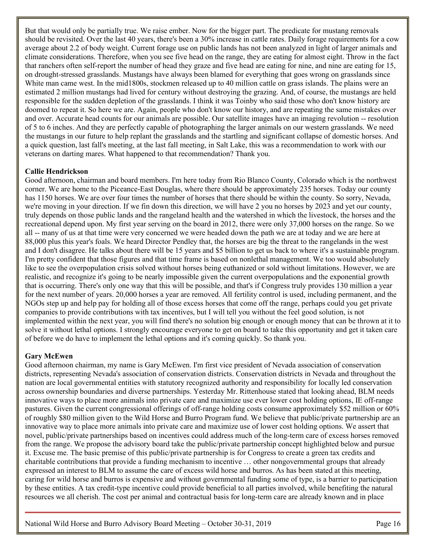But that would only be partially true. We raise ember. Now for the bigger part. The predicate for mustang removals should be revisited. Over the last 40 years, there's been a 30% increase in cattle rates. Daily forage requirements for a cow average about 2.2 of body weight. Current forage use on public lands has not been analyzed in light of larger animals and climate considerations. Therefore, when you see five head on the range, they are eating for almost eight. Throw in the fact that ranchers often self-report the number of head they graze and five head are eating for nine, and nine are eating for 15, on drought-stressed grasslands. Mustangs have always been blamed for everything that goes wrong on grasslands since White man came west. In the mid1800s, stockmen released up to 40 million cattle on grass islands. The plains were an estimated 2 million mustangs had lived for century without destroying the grazing. And, of course, the mustangs are held responsible for the sudden depletion of the grasslands. I think it was Toinby who said those who don't know history are doomed to repeat it. So here we are. Again, people who don't know our history, and are repeating the same mistakes over and over. Accurate head counts for our animals are possible. Our satellite images have an imaging revolution -- resolution of 5 to 6 inches. And they are perfectly capable of photographing the larger animals on our western grasslands. We need the mustangs in our future to help replant the grasslands and the startling and significant collapse of domestic horses. And a quick question, last fall's meeting, at the last fall meeting, in Salt Lake, this was a recommendation to work with our veterans on darting mares. What happened to that recommendation? Thank you.

## **Callie Hendrickson**

Good afternoon, chairman and board members. I'm here today from Rio Blanco County, Colorado which is the northwest corner. We are home to the Piceance-East Douglas, where there should be approximately 235 horses. Today our county has 1150 horses. We are over four times the number of horses that there should be within the county. So sorry, Nevada, we're moving in your direction. If we fin down this direction, we will have 2 you no horses by 2023 and yet our county, truly depends on those public lands and the rangeland health and the watershed in which the livestock, the horses and the recreational depend upon. My first year serving on the board in 2012, there were only 37,000 horses on the range. So we all -- many of us at that time were very concerned we were headed down the path we are at today and we are here at 88,000 plus this year's foals. We heard Director Pendley that, the horses are big the threat to the rangelands in the west and I don't disagree. He talks about there will be 15 years and \$5 billion to get us back to where it's a sustainable program. I'm pretty confident that those figures and that time frame is based on nonlethal management. We too would absolutely like to see the overpopulation crisis solved without horses being euthanized or sold without limitations. However, we are realistic, and recognize it's going to be nearly impossible given the current overpopulations and the exponential growth that is occurring. There's only one way that this will be possible, and that's if Congress truly provides 130 million a year for the next number of years. 20,000 horses a year are removed. All fertility control is used, including permanent, and the NGOs step up and help pay for holding all of those excess horses that come off the range, perhaps could you get private companies to provide contributions with tax incentives, but I will tell you without the feel good solution, is not implemented within the next year, you will find there's no solution big enough or enough money that can be thrown at it to solve it without lethal options. I strongly encourage everyone to get on board to take this opportunity and get it taken care of before we do have to implement the lethal options and it's coming quickly. So thank you.

## **Gary McEwen**

Good afternoon chairman, my name is Gary McEwen. I'm first vice president of Nevada association of conservation districts, representing Nevada's association of conservation districts. Conservation districts in Nevada and throughout the nation are local governmental entities with statutory recognized authority and responsibility for locally led conservation across ownership boundaries and diverse partnerships. Yesterday Mr. Rittenhouse stated that looking ahead, BLM needs innovative ways to place more animals into private care and maximize use ever lower cost holding options, IE off-range pastures. Given the current congressional offerings of off-range holding costs consume approximately \$52 million or 60% of roughly \$80 million given to the Wild Horse and Burro Program fund. We believe that public/private partnership are an innovative way to place more animals into private care and maximize use of lower cost holding options. We assert that novel, public/private partnerships based on incentives could address much of the long-term care of excess horses removed from the range. We propose the advisory board take the public/private partnership concept highlighted below and pursue it. Excuse me. The basic premise of this public/private partnership is for Congress to create a green tax credits and charitable contributions that provide a funding mechanism to incentive … other nongovernmental groups that already expressed an interest to BLM to assume the care of excess wild horse and burros. As has been stated at this meeting, caring for wild horse and burros is expensive and without governmental funding some of type, is a barrier to participation by these entities. A tax credit-type incentive could provide beneficial to all parties involved, while benefiting the natural resources we all cherish. The cost per animal and contractual basis for long-term care are already known and in place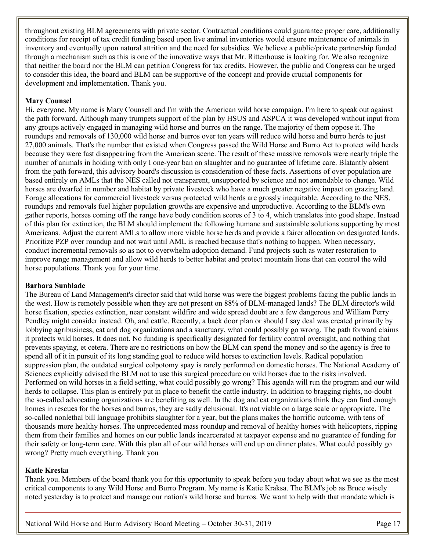throughout existing BLM agreements with private sector. Contractual conditions could guarantee proper care, additionally conditions for receipt of tax credit funding based upon live animal inventories would ensure maintenance of animals in inventory and eventually upon natural attrition and the need for subsidies. We believe a public/private partnership funded through a mechanism such as this is one of the innovative ways that Mr. Rittenhouse is looking for. We also recognize that neither the board nor the BLM can petition Congress for tax credits. However, the public and Congress can be urged to consider this idea, the board and BLM can be supportive of the concept and provide crucial components for development and implementation. Thank you.

## **Mary Counsel**

Hi, everyone. My name is Mary Counsell and I'm with the American wild horse campaign. I'm here to speak out against the path forward. Although many trumpets support of the plan by HSUS and ASPCA it was developed without input from any groups actively engaged in managing wild horse and burros on the range. The majority of them oppose it. The roundups and removals of 130,000 wild horse and burros over ten years will reduce wild horse and burro herds to just 27,000 animals. That's the number that existed when Congress passed the Wild Horse and Burro Act to protect wild herds because they were fast disappearing from the American scene. The result of these massive removals were nearly triple the number of animals in holding with only I one-year ban on slaughter and no guarantee of lifetime care. Blatantly absent from the path forward, this advisory board's discussion is consideration of these facts. Assertions of over population are based entirely on AMLs that the NES called not transparent, unsupported by science and not amendable to change. Wild horses are dwarfed in number and habitat by private livestock who have a much greater negative impact on grazing land. Forage allocations for commercial livestock versus protected wild herds are grossly inequitable. According to the NES, roundups and removals fuel higher population growths are expensive and unproductive. According to the BLM's own gather reports, horses coming off the range have body condition scores of 3 to 4, which translates into good shape. Instead of this plan for extinction, the BLM should implement the following humane and sustainable solutions supporting by most Americans. Adjust the current AMLs to allow more viable horse herds and provide a fairer allocation on designated lands. Prioritize PZP over roundup and not wait until AML is reached because that's nothing to happen. When necessary, conduct incremental removals so as not to overwhelm adoption demand. Fund projects such as water restoration to improve range management and allow wild herds to better habitat and protect mountain lions that can control the wild horse populations. Thank you for your time.

#### **Barbara Sunblade**

The Bureau of Land Management's director said that wild horse was were the biggest problems facing the public lands in the west. How is remotely possible when they are not present on 88% of BLM-managed lands? The BLM director's wild horse fixation, species extinction, near constant wildfire and wide spread doubt are a few dangerous and William Perry Pendley might consider instead. Oh, and cattle. Recently, a back door plan or should I say deal was created primarily by lobbying agribusiness, cat and dog organizations and a sanctuary, what could possibly go wrong. The path forward claims it protects wild horses. It does not. No funding is specifically designated for fertility control oversight, and nothing that prevents spaying, et cetera. There are no restrictions on how the BLM can spend the money and so the agency is free to spend all of it in pursuit of its long standing goal to reduce wild horses to extinction levels. Radical population suppression plan, the outdated surgical colpotomy spay is rarely performed on domestic horses. The National Academy of Sciences explicitly advised the BLM not to use this surgical procedure on wild horses due to the risks involved. Performed on wild horses in a field setting, what could possibly go wrong? This agenda will run the program and our wild herds to collapse. This plan is entirely put in place to benefit the cattle industry. In addition to bragging rights, no-doubt the so-called advocating organizations are benefiting as well. In the dog and cat organizations think they can find enough homes in rescues for the horses and burros, they are sadly delusional. It's not viable on a large scale or appropriate. The so-called nonlethal bill language prohibits slaughter for a year, but the plans makes the horrific outcome, with tens of thousands more healthy horses. The unprecedented mass roundup and removal of healthy horses with helicopters, ripping them from their families and homes on our public lands incarcerated at taxpayer expense and no guarantee of funding for their safety or long-term care. With this plan all of our wild horses will end up on dinner plates. What could possibly go wrong? Pretty much everything. Thank you

#### **Katie Kreska**

Thank you. Members of the board thank you for this opportunity to speak before you today about what we see as the most critical components to any Wild Horse and Burro Program. My name is Katie Kraksa. The BLM's job as Bruce wisely noted yesterday is to protect and manage our nation's wild horse and burros. We want to help with that mandate which is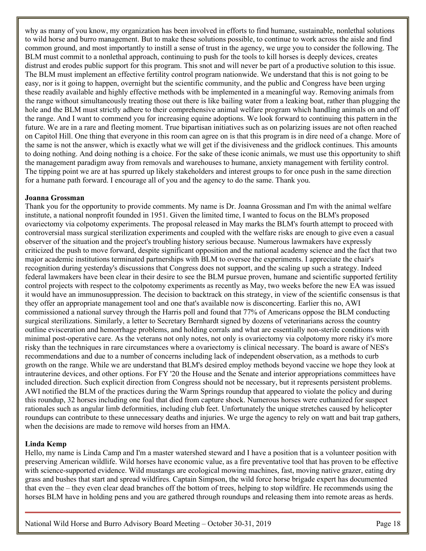why as many of you know, my organization has been involved in efforts to find humane, sustainable, nonlethal solutions to wild horse and burro management. But to make these solutions possible, to continue to work across the aisle and find common ground, and most importantly to instill a sense of trust in the agency, we urge you to consider the following. The BLM must commit to a nonlethal approach, continuing to push for the tools to kill horses is deeply devices, creates distrust and erodes public support for this program. This snot and will never be part of a productive solution to this issue. The BLM must implement an effective fertility control program nationwide. We understand that this is not going to be easy, nor is it going to happen, overnight but the scientific community, and the public and Congress have been urging these readily available and highly effective methods with be implemented in a meaningful way. Removing animals from the range without simultaneously treating those out there is like bailing water from a leaking boat, rather than plugging the hole and the BLM must strictly adhere to their comprehensive animal welfare program which handling animals on and off the range. And I want to commend you for increasing equine adoptions. We look forward to continuing this pattern in the future. We are in a rare and fleeting moment. True bipartisan initiatives such as on polarizing issues are not often reached on Capitol Hill. One thing that everyone in this room can agree on is that this program is in dire need of a change. More of the same is not the answer, which is exactly what we will get if the divisiveness and the gridlock continues. This amounts to doing nothing. And doing nothing is a choice. For the sake of these iconic animals, we must use this opportunity to shift the management paradigm away from removals and warehouses to humane, anxiety management with fertility control. The tipping point we are at has spurred up likely stakeholders and interest groups to for once push in the same direction for a humane path forward. I encourage all of you and the agency to do the same. Thank you.

## **Joanna Grossman**

Thank you for the opportunity to provide comments. My name is Dr. Joanna Grossman and I'm with the animal welfare institute, a national nonprofit founded in 1951. Given the limited time, I wanted to focus on the BLM's proposed ovariectomy via colpotomy experiments. The proposal released in May marks the BLM's fourth attempt to proceed with controversial mass surgical sterilization experiments and coupled with the welfare risks are enough to give even a casual observer of the situation and the project's troubling history serious because. Numerous lawmakers have expressly criticized the push to move forward, despite significant opposition and the national academy science and the fact that two major academic institutions terminated partnerships with BLM to oversee the experiments. I appreciate the chair's recognition during yesterday's discussions that Congress does not support, and the scaling up such a strategy. Indeed federal lawmakers have been clear in their desire to see the BLM pursue proven, humane and scientific supported fertility control projects with respect to the colpotomy experiments as recently as May, two weeks before the new EA was issued it would have an immunosuppression. The decision to backtrack on this strategy, in view of the scientific consensus is that they offer an appropriate management tool and one that's available now is disconcerting. Earlier this no, AWI commissioned a national survey through the Harris poll and found that 77% of Americans oppose the BLM conducting surgical sterilizations. Similarly, a letter to Secretary Bernhardt signed by dozens of veterinarians across the country outline evisceration and hemorrhage problems, and holding corrals and what are essentially non-sterile conditions with minimal post-operative care. As the veterans not only notes, not only is ovariectomy via colpotomy more risky it's more risky than the techniques in rare circumstances where a ovariectomy is clinical necessary. The board is aware of NES's recommendations and due to a number of concerns including lack of independent observation, as a methods to curb growth on the range. While we are understand that BLM's desired employ methods beyond vaccine we hope they look at intrauterine devices, and other options. For FY '20 the House and the Senate and interior appropriations committees have included direction. Such explicit direction from Congress should not be necessary, but it represents persistent problems. AWI notified the BLM of the practices during the Warm Springs roundup that appeared to violate the policy and during this roundup, 32 horses including one foal that died from capture shock. Numerous horses were euthanized for suspect rationales such as angular limb deformities, including club feet. Unfortunately the unique stretches caused by helicopter roundups can contribute to these unnecessary deaths and injuries. We urge the agency to rely on watt and bait trap gathers, when the decisions are made to remove wild horses from an HMA.

## **Linda Kemp**

Hello, my name is Linda Camp and I'm a master watershed steward and I have a position that is a volunteer position with preserving American wildlife. Wild horses have economic value, as a fire preventative tool that has proven to be effective with science-supported evidence. Wild mustangs are ecological mowing machines, fast, moving native grazer, eating dry grass and bushes that start and spread wildfires. Captain Simpson, the wild force horse brigade expert has documented that even the – they even clear dead branches off the bottom of trees, helping to stop wildfire. He recommends using the horses BLM have in holding pens and you are gathered through roundups and releasing them into remote areas as herds.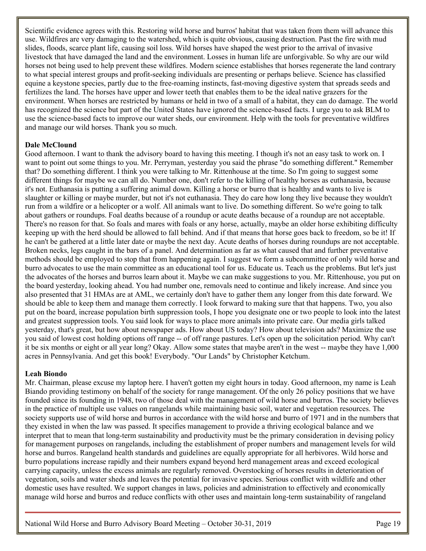Scientific evidence agrees with this. Restoring wild horse and burros' habitat that was taken from them will advance this use. Wildfires are very damaging to the watershed, which is quite obvious, causing destruction. Past the fire with mud slides, floods, scarce plant life, causing soil loss. Wild horses have shaped the west prior to the arrival of invasive livestock that have damaged the land and the environment. Losses in human life are unforgivable. So why are our wild horses not being used to help prevent these wildfires. Modern science establishes that horses regenerate the land contrary to what special interest groups and profit-seeking individuals are presenting or perhaps believe. Science has classified equine a keystone species, partly due to the free-roaming instincts, fast-moving digestive system that spreads seeds and fertilizes the land. The horses have upper and lower teeth that enables them to be the ideal native grazers for the environment. When horses are restricted by humans or held in two of a small of a habitat, they can do damage. The world has recognized the science but part of the United States have ignored the science-based facts. I urge you to ask BLM to use the science-based facts to improve our water sheds, our environment. Help with the tools for preventative wildfires and manage our wild horses. Thank you so much.

## **Dale McClound**

Good afternoon. I want to thank the advisory board to having this meeting. I though it's not an easy task to work on. I want to point out some things to you. Mr. Perryman, yesterday you said the phrase "do something different." Remember that? Do something different. I think you were talking to Mr. Rittenhouse at the time. So I'm going to suggest some different things for maybe we can all do. Number one, don't refer to the killing of healthy horses as euthanasia, because it's not. Euthanasia is putting a suffering animal down. Killing a horse or burro that is healthy and wants to live is slaughter or killing or maybe murder, but not it's not euthanasia. They do care how long they live because they wouldn't run from a wildfire or a helicopter or a wolf. All animals want to live. Do something different. So we're going to talk about gathers or roundups. Foal deaths because of a roundup or acute deaths because of a roundup are not acceptable. There's no reason for that. So foals and mares with foals or any horse, actually, maybe an older horse exhibiting difficulty keeping up with the herd should be allowed to fall behind. And if that means that horse goes back to freedom, so be it! If he can't be gathered at a little later date or maybe the next day. Acute deaths of horses during roundups are not acceptable. Broken necks, legs caught in the bars of a panel. And determination as far as what caused that and further preventative methods should be employed to stop that from happening again. I suggest we form a subcommittee of only wild horse and burro advocates to use the main committee as an educational tool for us. Educate us. Teach us the problems. But let's just the advocates of the horses and burros learn about it. Maybe we can make suggestions to you. Mr. Rittenhouse, you put on the board yesterday, looking ahead. You had number one, removals need to continue and likely increase. And since you also presented that 31 HMAs are at AML, we certainly don't have to gather them any longer from this date forward. We should be able to keep them and manage them correctly. I look forward to making sure that that happens. Two, you also put on the board, increase population birth suppression tools, I hope you designate one or two people to look into the latest and greatest suppression tools. You said look for ways to place more animals into private care. Our media girls talked yesterday, that's great, but how about newspaper ads. How about US today? How about television ads? Maximize the use you said of lowest cost holding options off range -- of off range pastures. Let's open up the solicitation period. Why can't it be six months or eight or all year long? Okay. Allow some states that maybe aren't in the west -- maybe they have 1,000 acres in Pennsylvania. And get this book! Everybody. "Our Lands" by Christopher Ketchum.

#### **Leah Biondo**

Mr. Chairman, please excuse my laptop here. I haven't gotten my eight hours in today. Good afternoon, my name is Leah Biando providing testimony on behalf of the society for range management. Of the only 26 policy positions that we have founded since its founding in 1948, two of those deal with the management of wild horse and burros. The society believes in the practice of multiple use values on rangelands while maintaining basic soil, water and vegetation resources. The society supports use of wild horse and burros in accordance with the wild horse and burro of 1971 and in the numbers that they existed in when the law was passed. It specifies management to provide a thriving ecological balance and we interpret that to mean that long-term sustainability and productivity must be the primary consideration in devising policy for management purposes on rangelands, including the establishment of proper numbers and management levels for wild horse and burros. Rangeland health standards and guidelines are equally appropriate for all herbivores. Wild horse and burro populations increase rapidly and their numbers expand beyond herd management areas and exceed ecological carrying capacity, unless the excess animals are regularly removed. Overstocking of horses results in deterioration of vegetation, soils and water sheds and leaves the potential for invasive species. Serious conflict with wildlife and other domestic uses have resulted. We support changes in laws, policies and administration to effectively and economically manage wild horse and burros and reduce conflicts with other uses and maintain long-term sustainability of rangeland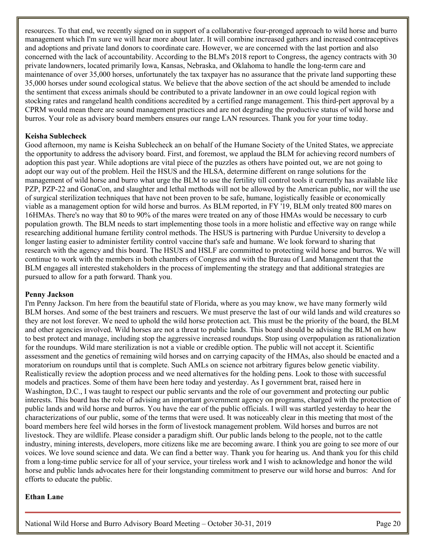resources. To that end, we recently signed on in support of a collaborative four-pronged approach to wild horse and burro management which I'm sure we will hear more about later. It will combine increased gathers and increased contraceptives and adoptions and private land donors to coordinate care. However, we are concerned with the last portion and also concerned with the lack of accountability. According to the BLM's 2018 report to Congress, the agency contracts with 30 private landowners, located primarily Iowa, Kansas, Nebraska, and Oklahoma to handle the long-term care and maintenance of over 35,000 horses, unfortunately the tax taxpayer has no assurance that the private land supporting these 35,000 horses under sound ecological status. We believe that the above section of the act should be amended to include the sentiment that excess animals should be contributed to a private landowner in an owe could logical region with stocking rates and rangeland health conditions accredited by a certified range management. This third-pert approval by a CPRM would mean there are sound management practices and are not degrading the productive status of wild horse and burros. Your role as advisory board members ensures our range LAN resources. Thank you for your time today.

#### **Keisha Sublecheck**

Good afternoon, my name is Keisha Sublecheck an on behalf of the Humane Society of the United States, we appreciate the opportunity to address the advisory board. First, and foremost, we applaud the BLM for achieving record numbers of adoption this past year. While adoptions are vital piece of the puzzles as others have pointed out, we are not going to adopt our way out of the problem. Heil the HSUS and the HLSA, determine different on range solutions for the management of wild horse and burro what urge the BLM to use the fertility till control tools it currently has available like PZP, PZP-22 and GonaCon, and slaughter and lethal methods will not be allowed by the American public, nor will the use of surgical sterilization techniques that have not been proven to be safe, humane, logistically feasible or economically viable as a management option for wild horse and burros. As BLM reported, in FY '19, BLM only treated 800 mares on 16HMAs. There's no way that 80 to 90% of the mares were treated on any of those HMAs would be necessary to curb population growth. The BLM needs to start implementing those tools in a more holistic and effective way on range while researching additional humane fertility control methods. The HSUS is partnering with Purdue University to develop a longer lasting easier to administer fertility control vaccine that's safe and humane. We look forward to sharing that research with the agency and this board. The HSUS and HSLF are committed to protecting wild horse and burros. We will continue to work with the members in both chambers of Congress and with the Bureau of Land Management that the BLM engages all interested stakeholders in the process of implementing the strategy and that additional strategies are pursued to allow for a path forward. Thank you.

#### **Penny Jackson**

I'm Penny Jackson. I'm here from the beautiful state of Florida, where as you may know, we have many formerly wild BLM horses. And some of the best trainers and rescuers. We must preserve the last of our wild lands and wild creatures so they are not lost forever. We need to uphold the wild horse protection act. This must be the priority of the board, the BLM and other agencies involved. Wild horses are not a threat to public lands. This board should be advising the BLM on how to best protect and manage, including stop the aggressive increased roundups. Stop using overpopulation as rationalization for the roundups. Wild mare sterilization is not a viable or credible option. The public will not accept it. Scientific assessment and the genetics of remaining wild horses and on carrying capacity of the HMAs, also should be enacted and a moratorium on roundups until that is complete. Such AMLs on science not arbitrary figures below genetic viability. Realistically review the adoption process and we need alternatives for the holding pens. Look to those with successful models and practices. Some of them have been here today and yesterday. As I government brat, raised here in Washington, D.C., I was taught to respect our public servants and the role of our government and protecting our public interests. This board has the role of advising an important government agency on programs, charged with the protection of public lands and wild horse and burros. You have the ear of the public officials. I will was startled yesterday to hear the characterizations of our public, some of the terms that were used. It was noticeably clear in this meeting that most of the board members here feel wild horses in the form of livestock management problem. Wild horses and burros are not livestock. They are wildlife. Please consider a paradigm shift. Our public lands belong to the people, not to the cattle industry, mining interests, developers, more citizens like me are becoming aware. I think you are going to see more of our voices. We love sound science and data. We can find a better way. Thank you for hearing us. And thank you for this child from a long-time public service for all of your service, your tireless work and I wish to acknowledge and honor the wild horse and public lands advocates here for their longstanding commitment to preserve our wild horse and burros: And for efforts to educate the public.

#### **Ethan Lane**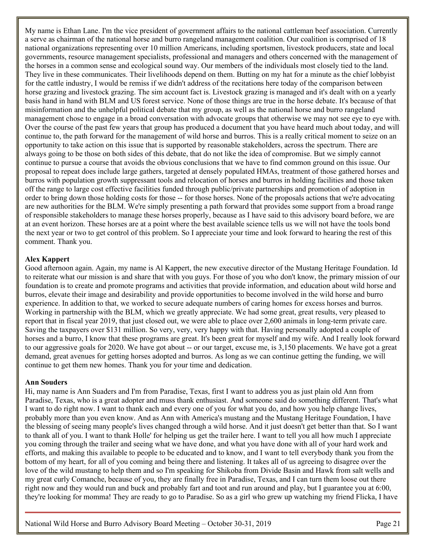My name is Ethan Lane. I'm the vice president of government affairs to the national cattleman beef association. Currently a serve as chairman of the national horse and burro rangeland management coalition. Our coalition is comprised of 18 national organizations representing over 10 million Americans, including sportsmen, livestock producers, state and local governments, resource management specialists, professional and managers and others concerned with the management of the horses in a common sense and ecological sound way. Our members of the individuals most closely tied to the land. They live in these communicates. Their livelihoods depend on them. Butting on my hat for a minute as the chief lobbyist for the cattle industry, I would be remiss if we didn't address of the recitations here today of the comparison between horse grazing and livestock grazing. The sim account fact is. Livestock grazing is managed and it's dealt with on a yearly basis hand in hand with BLM and US forest service. None of those things are true in the horse debate. It's because of that misinformation and the unhelpful political debate that my group, as well as the national horse and burro rangeland management chose to engage in a broad conversation with advocate groups that otherwise we may not see eye to eye with. Over the course of the past few years that group has produced a document that you have heard much about today, and will continue to, the path forward for the management of wild horse and burros. This is a really critical moment to seize on an opportunity to take action on this issue that is supported by reasonable stakeholders, across the spectrum. There are always going to be those on both sides of this debate, that do not like the idea of compromise. But we simply cannot continue to pursue a course that avoids the obvious conclusions that we have to find common ground on this issue. Our proposal to repeat does include large gathers, targeted at densely populated HMAs, treatment of those gathered horses and burros with population growth suppressant tools and relocation of horses and burros in holding facilities and those taken off the range to large cost effective facilities funded through public/private partnerships and promotion of adoption in order to bring down those holding costs for those -- for those horses. None of the proposals actions that we're advocating are new authorities for the BLM. We're simply presenting a path forward that provides some support from a broad range of responsible stakeholders to manage these horses properly, because as I have said to this advisory board before, we are at an event horizon. These horses are at a point where the best available science tells us we will not have the tools bond the next year or two to get control of this problem. So I appreciate your time and look forward to hearing the rest of this comment. Thank you.

#### **Alex Kappert**

Good afternoon again. Again, my name is Al Kappert, the new executive director of the Mustang Heritage Foundation. Id to reiterate what our mission is and share that with you guys. For those of you who don't know, the primary mission of our foundation is to create and promote programs and activities that provide information, and education about wild horse and burros, elevate their image and desirability and provide opportunities to become involved in the wild horse and burro experience. In addition to that, we worked to secure adequate numbers of caring homes for excess horses and burros. Working in partnership with the BLM, which we greatly appreciate. We had some great, great results, very pleased to report that in fiscal year 2019, that just closed out, we were able to place over 2,600 animals in long-term private care. Saving the taxpayers over \$131 million. So very, very, very happy with that. Having personally adopted a couple of horses and a burro, I know that these programs are great. It's been great for myself and my wife. And I really look forward to our aggressive goals for 2020. We have got about -- or our target, excuse me, is 3,150 placements. We have got a great demand, great avenues for getting horses adopted and burros. As long as we can continue getting the funding, we will continue to get them new homes. Thank you for your time and dedication.

#### **Ann Souders**

Hi, may name is Ann Suaders and I'm from Paradise, Texas, first I want to address you as just plain old Ann from Paradise, Texas, who is a great adopter and muss thank enthusiast. And someone said do something different. That's what I want to do right now. I want to thank each and every one of you for what you do, and how you help change lives, probably more than you even know. And as Ann with America's mustang and the Mustang Heritage Foundation, I have the blessing of seeing many people's lives changed through a wild horse. And it just doesn't get better than that. So I want to thank all of you. I want to thank Holle' for helping us get the trailer here. I want to tell you all how much I appreciate you coming through the trailer and seeing what we have done, and what you have done with all of your hard work and efforts, and making this available to people to be educated and to know, and I want to tell everybody thank you from the bottom of my heart, for all of you coming and being there and listening. It takes all of us agreeing to disagree over the love of the wild mustang to help them and so I'm speaking for Shikoba from Divide Basin and Hawk from salt wells and my great curly Comanche, because of you, they are finally free in Paradise, Texas, and I can turn them loose out there right now and they would run and buck and probably fart and toot and run around and play, but I guarantee you at 6:00, they're looking for momma! They are ready to go to Paradise. So as a girl who grew up watching my friend Flicka, I have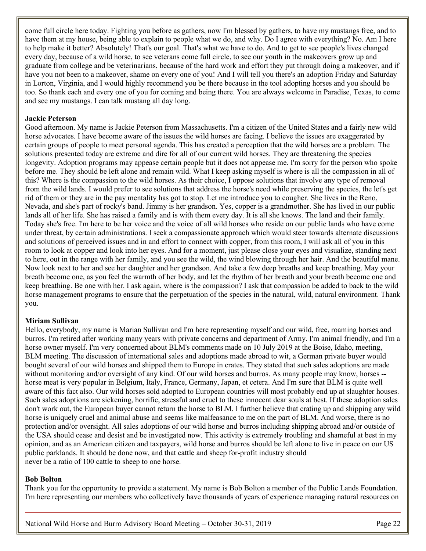come full circle here today. Fighting you before as gathers, now I'm blessed by gathers, to have my mustangs free, and to have them at my house, being able to explain to people what we do, and why. Do I agree with everything? No. Am I here to help make it better? Absolutely! That's our goal. That's what we have to do. And to get to see people's lives changed every day, because of a wild horse, to see veterans come full circle, to see our youth in the makeovers grow up and graduate from college and be veterinarians, because of the hard work and effort they put through doing a makeover, and if have you not been to a makeover, shame on every one of you! And I will tell you there's an adoption Friday and Saturday in Lorton, Virginia, and I would highly recommend you be there because in the tool adopting horses and you should be too. So thank each and every one of you for coming and being there. You are always welcome in Paradise, Texas, to come and see my mustangs. I can talk mustang all day long.

#### **Jackie Peterson**

Good afternoon. My name is Jackie Peterson from Massachusetts. I'm a citizen of the United States and a fairly new wild horse advocates. I have become aware of the issues the wild horses are facing. I believe the issues are exaggerated by certain groups of people to meet personal agenda. This has created a perception that the wild horses are a problem. The solutions presented today are extreme and dire for all of our current wild horses. They are threatening the species longevity. Adoption programs may appease certain people but it does not appease me. I'm sorry for the person who spoke before me. They should be left alone and remain wild. What I keep asking myself is where is all the compassion in all of this? Where is the compassion to the wild horses. As their choice, I oppose solutions that involve any type of removal from the wild lands. I would prefer to see solutions that address the horse's need while preserving the species, the let's get rid of them or they are in the pay mentality has got to stop. Let me introduce you to cougher. She lives in the Reno, Nevada, and she's part of rocky's band. Jimmy is her grandson. Yes, copper is a grandmother. She has lived in our public lands all of her life. She has raised a family and is with them every day. It is all she knows. The land and their family. Today she's free. I'm here to be her voice and the voice of all wild horses who reside on our public lands who have come under threat, by certain administrations. I seek a compassionate approach which would steer towards alternate discussions and solutions of perceived issues and in and effort to connect with copper, from this room, I will ask all of you in this room to look at copper and look into her eyes. And for a moment, just please close your eyes and visualize, standing next to here, out in the range with her family, and you see the wild, the wind blowing through her hair. And the beautiful mane. Now look next to her and see her daughter and her grandson. And take a few deep breaths and keep breathing. May your breath become one, as you feel the warmth of her body, and let the rhythm of her breath and your breath become one and keep breathing. Be one with her. I ask again, where is the compassion? I ask that compassion be added to back to the wild horse management programs to ensure that the perpetuation of the species in the natural, wild, natural environment. Thank you.

#### **Miriam Sullivan**

Hello, everybody, my name is Marian Sullivan and I'm here representing myself and our wild, free, roaming horses and burros. I'm retired after working many years with private concerns and department of Army. I'm animal friendly, and I'm a horse owner myself. I'm very concerned about BLM's comments made on 10 July 2019 at the Boise, Idaho, meeting, BLM meeting. The discussion of international sales and adoptions made abroad to wit, a German private buyer would bought several of our wild horses and shipped them to Europe in crates. They stated that such sales adoptions are made without monitoring and/or oversight of any kind. Of our wild horses and burros. As many people may know, horses -horse meat is very popular in Belgium, Italy, France, Germany, Japan, et cetera. And I'm sure that BLM is quite well aware of this fact also. Our wild horses sold adopted to European countries will most probably end up at slaughter houses. Such sales adoptions are sickening, horrific, stressful and cruel to these innocent dear souls at best. If these adoption sales don't work out, the European buyer cannot return the horse to BLM. I further believe that crating up and shipping any wild horse is uniquely cruel and animal abuse and seems like malfeasance to me on the part of BLM. And worse, there is no protection and/or oversight. All sales adoptions of our wild horse and burros including shipping abroad and/or outside of the USA should cease and desist and be investigated now. This activity is extremely troubling and shameful at best in my opinion, and as an American citizen and taxpayers, wild horse and burros should be left alone to live in peace on our US public parklands. It should be done now, and that cattle and sheep for-profit industry should never be a ratio of 100 cattle to sheep to one horse.

#### **Bob Bolton**

Thank you for the opportunity to provide a statement. My name is Bob Bolton a member of the Public Lands Foundation. I'm here representing our members who collectively have thousands of years of experience managing natural resources on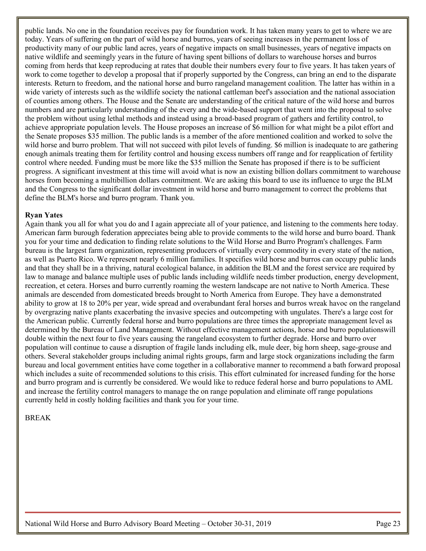public lands. No one in the foundation receives pay for foundation work. It has taken many years to get to where we are today. Years of suffering on the part of wild horse and burros, years of seeing increases in the permanent loss of productivity many of our public land acres, years of negative impacts on small businesses, years of negative impacts on native wildlife and seemingly years in the future of having spent billions of dollars to warehouse horses and burros coming from herds that keep reproducing at rates that double their numbers every four to five years. It has taken years of work to come together to develop a proposal that if properly supported by the Congress, can bring an end to the disparate interests. Return to freedom, and the national horse and burro rangeland management coalition. The latter has within in a wide variety of interests such as the wildlife society the national cattleman beef's association and the national association of counties among others. The House and the Senate are understanding of the critical nature of the wild horse and burros numbers and are particularly understanding of the every and the wide-based support that went into the proposal to solve the problem without using lethal methods and instead using a broad-based program of gathers and fertility control, to achieve appropriate population levels. The House proposes an increase of \$6 million for what might be a pilot effort and the Senate proposes \$35 million. The public lands is a member of the afore mentioned coalition and worked to solve the wild horse and burro problem. That will not succeed with pilot levels of funding. \$6 million is inadequate to are gathering enough animals treating them for fertility control and housing excess numbers off range and for reapplication of fertility control where needed. Funding must be more like the \$35 million the Senate has proposed if there is to be sufficient progress. A significant investment at this time will avoid what is now an existing billion dollars commitment to warehouse horses from becoming a multibillion dollars commitment. We are asking this board to use its influence to urge the BLM and the Congress to the significant dollar investment in wild horse and burro management to correct the problems that define the BLM's horse and burro program. Thank you.

#### **Ryan Yates**

Again thank you all for what you do and I again appreciate all of your patience, and listening to the comments here today. American farm burough federation appreciates being able to provide comments to the wild horse and burro board. Thank you for your time and dedication to finding relate solutions to the Wild Horse and Burro Program's challenges. Farm bureau is the largest farm organization, representing producers of virtually every commodity in every state of the nation, as well as Puerto Rico. We represent nearly 6 million families. It specifies wild horse and burros can occupy public lands and that they shall be in a thriving, natural ecological balance, in addition the BLM and the forest service are required by law to manage and balance multiple uses of public lands including wildlife needs timber production, energy development, recreation, et cetera. Horses and burro currently roaming the western landscape are not native to North America. These animals are descended from domesticated breeds brought to North America from Europe. They have a demonstrated ability to grow at 18 to 20% per year, wide spread and overabundant feral horses and burros wreak havoc on the rangeland by overgrazing native plants exacerbating the invasive species and outcompeting with ungulates. There's a large cost for the American public. Currently federal horse and burro populations are three times the appropriate management level as determined by the Bureau of Land Management. Without effective management actions, horse and burro populationswill double within the next four to five years causing the rangeland ecosystem to further degrade. Horse and burro over population will continue to cause a disruption of fragile lands including elk, mule deer, big horn sheep, sage-grouse and others. Several stakeholder groups including animal rights groups, farm and large stock organizations including the farm bureau and local government entities have come together in a collaborative manner to recommend a bath forward proposal which includes a suite of recommended solutions to this crisis. This effort culminated for increased funding for the horse and burro program and is currently be considered. We would like to reduce federal horse and burro populations to AML and increase the fertility control managers to manage the on range population and eliminate off range populations currently held in costly holding facilities and thank you for your time.

#### BREAK